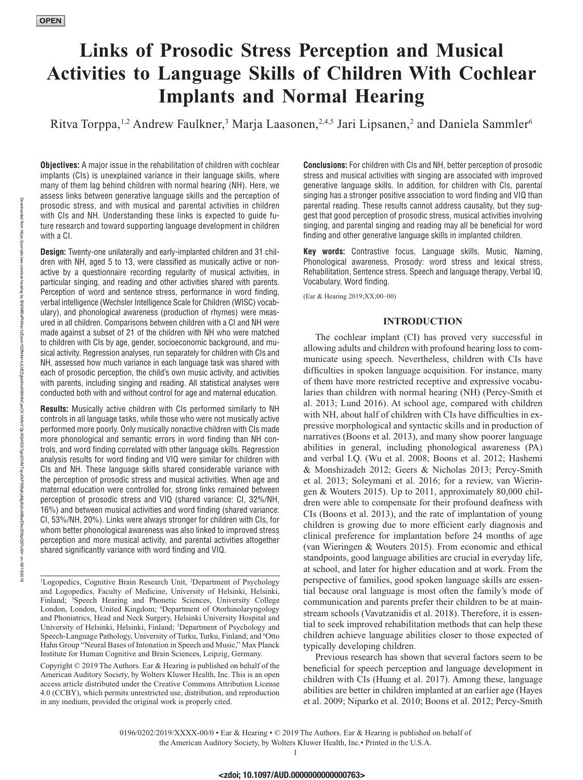# **Links of Prosodic Stress Perception and Musical Activities to Language Skills of Children With Cochlear Implants and Normal Hearing**

Ritva Torppa,<sup>1,2</sup> Andrew Faulkner,<sup>3</sup> Marja Laasonen,<sup>2,4,5</sup> Jari Lipsanen,<sup>2</sup> and Daniela Sammler<sup>6</sup>

**Objectives:** A major issue in the rehabilitation of children with cochlear implants (CIs) is unexplained variance in their language skills, where many of them lag behind children with normal hearing (NH). Here, we assess links between generative language skills and the perception of prosodic stress, and with musical and parental activities in children with CIs and NH. Understanding these links is expected to guide future research and toward supporting language development in children with a CI.

**Design:** Twenty-one unilaterally and early-implanted children and 31 children with NH, aged 5 to 13, were classified as musically active or nonactive by a questionnaire recording regularity of musical activities, in particular singing, and reading and other activities shared with parents. Perception of word and sentence stress, performance in word finding, verbal intelligence (Wechsler Intelligence Scale for Children (WISC) vocabulary), and phonological awareness (production of rhymes) were measured in all children. Comparisons between children with a CI and NH were made against a subset of 21 of the children with NH who were matched to children with CIs by age, gender, socioeconomic background, and musical activity. Regression analyses, run separately for children with CIs and NH, assessed how much variance in each language task was shared with each of prosodic perception, the child's own music activity, and activities with parents, including singing and reading. All statistical analyses were conducted both with and without control for age and maternal education.

**Results:** Musically active children with CIs performed similarly to NH controls in all language tasks, while those who were not musically active performed more poorly. Only musically nonactive children with CIs made more phonological and semantic errors in word finding than NH controls, and word finding correlated with other language skills. Regression analysis results for word finding and VIQ were similar for children with CIs and NH. These language skills shared considerable variance with the perception of prosodic stress and musical activities. When age and maternal education were controlled for, strong links remained between perception of prosodic stress and VIQ (shared variance: CI, 32%/NH, 16%) and between musical activities and word finding (shared variance: CI, 53%/NH, 20%). Links were always stronger for children with CIs, for whom better phonological awareness was also linked to improved stress perception and more musical activity, and parental activities altogether shared significantly variance with word finding and VIQ.

Copyright © 2019 The Authors. Ear & Hearing is published on behalf of the American Auditory Society, by Wolters Kluwer Health, Inc. This is an open access article distributed under the [Creative Commons Attribution License](http://creativecommons.org/licenses/by/4.0/)  [4.0 \(CCBY\),](http://creativecommons.org/licenses/by/4.0/) which permits unrestricted use, distribution, and reproduction in any medium, provided the original work is properly cited.

**Conclusions:** For children with CIs and NH, better perception of prosodic stress and musical activities with singing are associated with improved generative language skills. In addition, for children with CIs, parental singing has a stronger positive association to word finding and VIQ than parental reading. These results cannot address causality, but they suggest that good perception of prosodic stress, musical activities involving singing, and parental singing and reading may all be beneficial for word finding and other generative language skills in implanted children.

**Key words:** Contrastive focus, Language skills, Music, Naming, Phonological awareness, Prosody: word stress and lexical stress, Rehabilitation, Sentence stress, Speech and language therapy, Verbal IQ, Vocabulary, Word finding.

(Ear & Hearing 2019;XX;00–00)

## **INTRODUCTION**

The cochlear implant (CI) has proved very successful in allowing adults and children with profound hearing loss to communicate using speech. Nevertheless, children with CIs have difficulties in spoken language acquisition. For instance, many of them have more restricted receptive and expressive vocabularies than children with normal hearing (NH) (Percy-Smith et al. 2013; Lund 2016). At school age, compared with children with NH, about half of children with CIs have difficulties in expressive morphological and syntactic skills and in production of narratives (Boons et al. 2013), and many show poorer language abilities in general, including phonological awareness (PA) and verbal I.Q. (Wu et al. 2008; Boons et al. 2012; Hashemi & Monshizadeh 2012; Geers & Nicholas 2013; Percy-Smith et al. 2013; Soleymani et al. 2016; for a review, van Wieringen & Wouters 2015). Up to 2011, approximately 80,000 children were able to compensate for their profound deafness with CIs (Boons et al. 2013), and the rate of implantation of young children is growing due to more efficient early diagnosis and clinical preference for implantation before 24 months of age (van Wieringen & Wouters 2015). From economic and ethical standpoints, good language abilities are crucial in everyday life, at school, and later for higher education and at work. From the perspective of families, good spoken language skills are essential because oral language is most often the family's mode of communication and parents prefer their children to be at mainstream schools (Vavatzanidis et al. 2018). Therefore, it is essential to seek improved rehabilitation methods that can help these children achieve language abilities closer to those expected of typically developing children.

Previous research has shown that several factors seem to be beneficial for speech perception and language development in children with CIs (Huang et al. 2017). Among these, language abilities are better in children implanted at an earlier age (Hayes et al. 2009; Niparko et al. 2010; Boons et al. 2012; Percy-Smith

the American Auditory Society, by Wolters Kluwer Health, Inc.• Printed in the U.S.A.

<sup>&</sup>lt;sup>1</sup>Logopedics, Cognitive Brain Research Unit, <sup>2</sup>Department of Psychology and Logopedics, Faculty of Medicine, University of Helsinki, Helsinki, Finland; 3 Speech Hearing and Phonetic Sciences, University College London, London, United Kingdom; 4 Department of Otorhinolaryngology and Phoniatrics, Head and Neck Surgery, Helsinki University Hospital and University of Helsinki, Helsinki, Finland; <sup>5</sup>Department of Psychology and Speech-Language Pathology, University of Turku, Turku, Finland; and <sup>6</sup>Otto Hahn Group "Neural Bases of Intonation in Speech and Music," Max Planck Institute for Human Cognitive and Brain Sciences, Leipzig, Germany.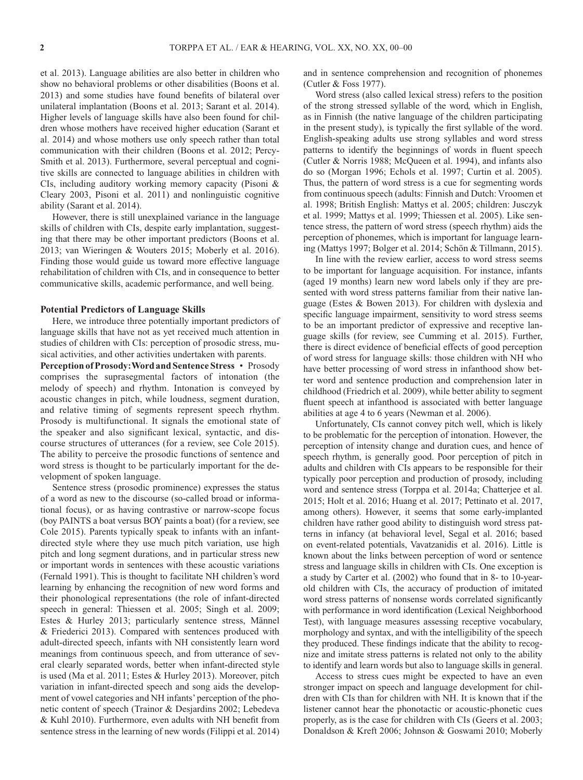et al. 2013). Language abilities are also better in children who show no behavioral problems or other disabilities (Boons et al. 2013) and some studies have found benefits of bilateral over unilateral implantation (Boons et al. 2013; Sarant et al. 2014). Higher levels of language skills have also been found for children whose mothers have received higher education (Sarant et al. 2014) and whose mothers use only speech rather than total communication with their children (Boons et al. 2012; Percy-Smith et al. 2013). Furthermore, several perceptual and cognitive skills are connected to language abilities in children with CIs, including auditory working memory capacity (Pisoni & Cleary 2003, Pisoni et al. 2011) and nonlinguistic cognitive ability (Sarant et al. 2014).

However, there is still unexplained variance in the language skills of children with CIs, despite early implantation, suggesting that there may be other important predictors (Boons et al. 2013; van Wieringen & Wouters 2015; Moberly et al. 2016). Finding those would guide us toward more effective language rehabilitation of children with CIs, and in consequence to better communicative skills, academic performance, and well being.

## **Potential Predictors of Language Skills**

Here, we introduce three potentially important predictors of language skills that have not as yet received much attention in studies of children with CIs: perception of prosodic stress, musical activities, and other activities undertaken with parents.

**Perception of Prosody: Word and Sentence Stress** • Prosody comprises the suprasegmental factors of intonation (the melody of speech) and rhythm. Intonation is conveyed by acoustic changes in pitch, while loudness, segment duration, and relative timing of segments represent speech rhythm. Prosody is multifunctional. It signals the emotional state of the speaker and also significant lexical, syntactic, and discourse structures of utterances (for a review, see Cole 2015). The ability to perceive the prosodic functions of sentence and word stress is thought to be particularly important for the development of spoken language.

Sentence stress (prosodic prominence) expresses the status of a word as new to the discourse (so-called broad or informational focus), or as having contrastive or narrow-scope focus (boy PAINTS a boat versus BOY paints a boat) (for a review, see Cole 2015). Parents typically speak to infants with an infantdirected style where they use much pitch variation, use high pitch and long segment durations, and in particular stress new or important words in sentences with these acoustic variations (Fernald 1991). This is thought to facilitate NH children's word learning by enhancing the recognition of new word forms and their phonological representations (the role of infant-directed speech in general: Thiessen et al. 2005; Singh et al. 2009; Estes & Hurley 2013; particularly sentence stress, Männel & Friederici 2013). Compared with sentences produced with adult-directed speech, infants with NH consistently learn word meanings from continuous speech, and from utterance of several clearly separated words, better when infant-directed style is used (Ma et al. 2011; Estes & Hurley 2013). Moreover, pitch variation in infant-directed speech and song aids the development of vowel categories and NH infants' perception of the phonetic content of speech (Trainor & Desjardins 2002; Lebedeva & Kuhl 2010). Furthermore, even adults with NH benefit from sentence stress in the learning of new words (Filippi et al. 2014)

and in sentence comprehension and recognition of phonemes (Cutler & Foss 1977).

Word stress (also called lexical stress) refers to the position of the strong stressed syllable of the word, which in English, as in Finnish (the native language of the children participating in the present study), is typically the first syllable of the word. English-speaking adults use strong syllables and word stress patterns to identify the beginnings of words in fluent speech (Cutler & Norris 1988; McQueen et al. 1994), and infants also do so (Morgan 1996; Echols et al. 1997; Curtin et al. 2005). Thus, the pattern of word stress is a cue for segmenting words from continuous speech (adults: Finnish and Dutch: Vroomen et al. 1998; British English: Mattys et al. 2005; children: Jusczyk et al. 1999; Mattys et al. 1999; Thiessen et al. 2005). Like sentence stress, the pattern of word stress (speech rhythm) aids the perception of phonemes, which is important for language learning (Mattys 1997; Bolger et al. 2014; Schön & Tillmann, 2015).

In line with the review earlier, access to word stress seems to be important for language acquisition. For instance, infants (aged 19 months) learn new word labels only if they are presented with word stress patterns familiar from their native language (Estes & Bowen 2013). For children with dyslexia and specific language impairment, sensitivity to word stress seems to be an important predictor of expressive and receptive language skills (for review, see Cumming et al. 2015). Further, there is direct evidence of beneficial effects of good perception of word stress for language skills: those children with NH who have better processing of word stress in infanthood show better word and sentence production and comprehension later in childhood (Friedrich et al. 2009), while better ability to segment fluent speech at infanthood is associated with better language abilities at age 4 to 6 years (Newman et al. 2006).

Unfortunately, CIs cannot convey pitch well, which is likely to be problematic for the perception of intonation. However, the perception of intensity change and duration cues, and hence of speech rhythm, is generally good. Poor perception of pitch in adults and children with CIs appears to be responsible for their typically poor perception and production of prosody, including word and sentence stress (Torppa et al. 2014a; Chatterjee et al. 2015; Holt et al. 2016; Huang et al. 2017; Pettinato et al. 2017, among others). However, it seems that some early-implanted children have rather good ability to distinguish word stress patterns in infancy (at behavioral level, Segal et al. 2016; based on event-related potentials, Vavatzanidis et al. 2016). Little is known about the links between perception of word or sentence stress and language skills in children with CIs. One exception is a study by Carter et al. (2002) who found that in 8- to 10-yearold children with CIs, the accuracy of production of imitated word stress patterns of nonsense words correlated significantly with performance in word identification (Lexical Neighborhood Test), with language measures assessing receptive vocabulary, morphology and syntax, and with the intelligibility of the speech they produced. These findings indicate that the ability to recognize and imitate stress patterns is related not only to the ability to identify and learn words but also to language skills in general.

Access to stress cues might be expected to have an even stronger impact on speech and language development for children with CIs than for children with NH. It is known that if the listener cannot hear the phonotactic or acoustic-phonetic cues properly, as is the case for children with CIs (Geers et al. 2003; Donaldson & Kreft 2006; Johnson & Goswami 2010; Moberly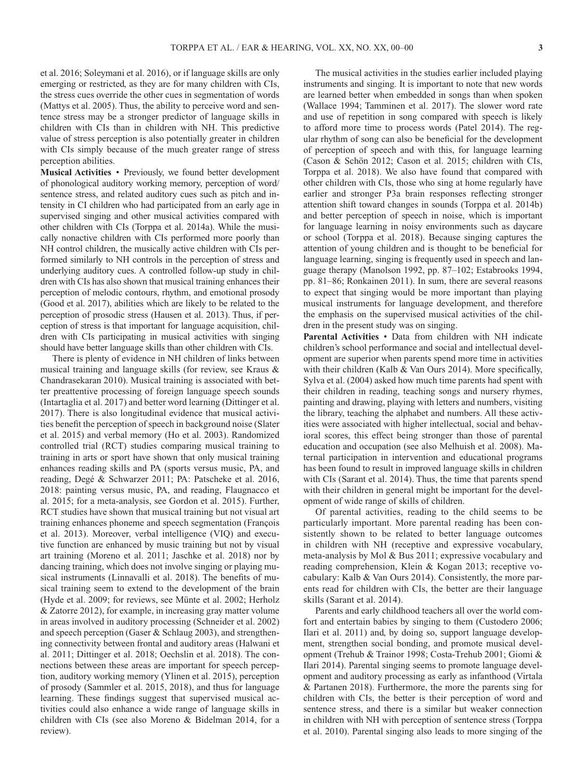et al. 2016; Soleymani et al. 2016), or if language skills are only emerging or restricted, as they are for many children with CIs, the stress cues override the other cues in segmentation of words (Mattys et al. 2005). Thus, the ability to perceive word and sentence stress may be a stronger predictor of language skills in children with CIs than in children with NH. This predictive value of stress perception is also potentially greater in children with CIs simply because of the much greater range of stress perception abilities.

**Musical Activities** • Previously, we found better development of phonological auditory working memory, perception of word/ sentence stress, and related auditory cues such as pitch and intensity in CI children who had participated from an early age in supervised singing and other musical activities compared with other children with CIs (Torppa et al. 2014a). While the musically nonactive children with CIs performed more poorly than NH control children, the musically active children with CIs performed similarly to NH controls in the perception of stress and underlying auditory cues. A controlled follow-up study in children with CIs has also shown that musical training enhances their perception of melodic contours, rhythm, and emotional prosody (Good et al. 2017), abilities which are likely to be related to the perception of prosodic stress (Hausen et al. 2013). Thus, if perception of stress is that important for language acquisition, children with CIs participating in musical activities with singing should have better language skills than other children with CIs.

There is plenty of evidence in NH children of links between musical training and language skills (for review, see Kraus & Chandrasekaran 2010). Musical training is associated with better preattentive processing of foreign language speech sounds (Intartaglia et al. 2017) and better word learning (Dittinger et al. 2017). There is also longitudinal evidence that musical activities benefit the perception of speech in background noise (Slater et al. 2015) and verbal memory (Ho et al. 2003). Randomized controlled trial (RCT) studies comparing musical training to training in arts or sport have shown that only musical training enhances reading skills and PA (sports versus music, PA, and reading, Degé & Schwarzer 2011; PA: Patscheke et al. 2016, 2018: painting versus music, PA, and reading, Flaugnacco et al. 2015; for a meta-analysis, see Gordon et al. 2015). Further, RCT studies have shown that musical training but not visual art training enhances phoneme and speech segmentation (François et al. 2013). Moreover, verbal intelligence (VIQ) and executive function are enhanced by music training but not by visual art training (Moreno et al. 2011; Jaschke et al. 2018) nor by dancing training, which does not involve singing or playing musical instruments (Linnavalli et al. 2018). The benefits of musical training seem to extend to the development of the brain (Hyde et al. 2009; for reviews, see Münte et al. 2002; Herholz & Zatorre 2012), for example, in increasing gray matter volume in areas involved in auditory processing (Schneider et al. 2002) and speech perception (Gaser & Schlaug 2003), and strengthening connectivity between frontal and auditory areas (Halwani et al. 2011; Dittinger et al. 2018; Oechslin et al. 2018). The connections between these areas are important for speech perception, auditory working memory (Ylinen et al. 2015), perception of prosody (Sammler et al. 2015, 2018), and thus for language learning. These findings suggest that supervised musical activities could also enhance a wide range of language skills in children with CIs (see also Moreno & Bidelman 2014, for a review).

The musical activities in the studies earlier included playing instruments and singing. It is important to note that new words are learned better when embedded in songs than when spoken (Wallace 1994; Tamminen et al. 2017). The slower word rate and use of repetition in song compared with speech is likely to afford more time to process words (Patel 2014). The regular rhythm of song can also be beneficial for the development of perception of speech and with this, for language learning (Cason & Schön 2012; Cason et al. 2015; children with CIs, Torppa et al. 2018). We also have found that compared with other children with CIs, those who sing at home regularly have earlier and stronger P3a brain responses reflecting stronger attention shift toward changes in sounds (Torppa et al. 2014b) and better perception of speech in noise, which is important for language learning in noisy environments such as daycare or school (Torppa et al. 2018). Because singing captures the attention of young children and is thought to be beneficial for language learning, singing is frequently used in speech and language therapy (Manolson 1992, pp. 87–102; Estabrooks 1994, pp. 81–86; Ronkainen 2011). In sum, there are several reasons to expect that singing would be more important than playing musical instruments for language development, and therefore the emphasis on the supervised musical activities of the children in the present study was on singing.

**Parental Activities** • Data from children with NH indicate children's school performance and social and intellectual development are superior when parents spend more time in activities with their children (Kalb & Van Ours 2014). More specifically, Sylva et al. (2004) asked how much time parents had spent with their children in reading, teaching songs and nursery rhymes, painting and drawing, playing with letters and numbers, visiting the library, teaching the alphabet and numbers. All these activities were associated with higher intellectual, social and behavioral scores, this effect being stronger than those of parental education and occupation (see also Melhuish et al. 2008). Maternal participation in intervention and educational programs has been found to result in improved language skills in children with CIs (Sarant et al. 2014). Thus, the time that parents spend with their children in general might be important for the development of wide range of skills of children.

Of parental activities, reading to the child seems to be particularly important. More parental reading has been consistently shown to be related to better language outcomes in children with NH (receptive and expressive vocabulary, meta-analysis by Mol & Bus 2011; expressive vocabulary and reading comprehension, Klein & Kogan 2013; receptive vocabulary: Kalb & Van Ours 2014). Consistently, the more parents read for children with CIs, the better are their language skills (Sarant et al. 2014).

Parents and early childhood teachers all over the world comfort and entertain babies by singing to them (Custodero 2006; Ilari et al. 2011) and, by doing so, support language development, strengthen social bonding, and promote musical development (Trehub & Trainor 1998; Costa-Trehub 2001; Giomi & Ilari 2014). Parental singing seems to promote language development and auditory processing as early as infanthood (Virtala & Partanen 2018). Furthermore, the more the parents sing for children with CIs, the better is their perception of word and sentence stress, and there is a similar but weaker connection in children with NH with perception of sentence stress (Torppa et al. 2010). Parental singing also leads to more singing of the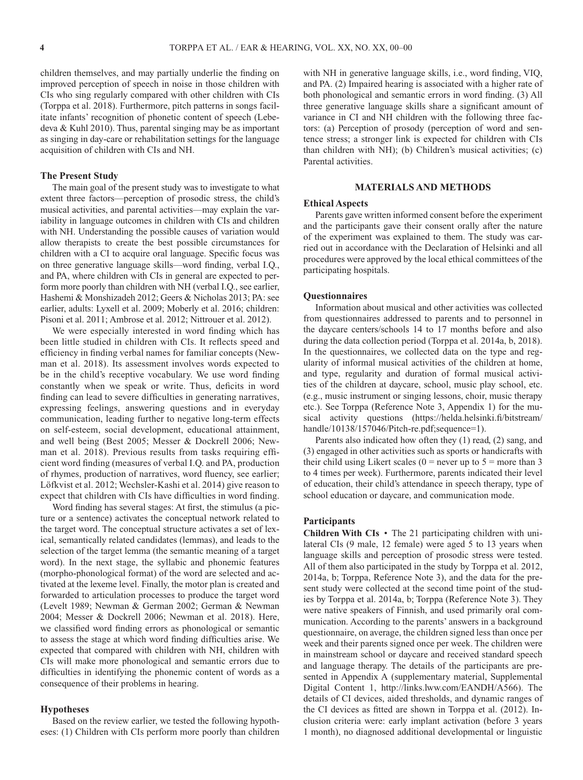children themselves, and may partially underlie the finding on improved perception of speech in noise in those children with CIs who sing regularly compared with other children with CIs (Torppa et al. 2018). Furthermore, pitch patterns in songs facilitate infants' recognition of phonetic content of speech (Lebedeva & Kuhl 2010). Thus, parental singing may be as important as singing in day-care or rehabilitation settings for the language acquisition of children with CIs and NH.

#### **The Present Study**

The main goal of the present study was to investigate to what extent three factors—perception of prosodic stress, the child's musical activities, and parental activities—may explain the variability in language outcomes in children with CIs and children with NH. Understanding the possible causes of variation would allow therapists to create the best possible circumstances for children with a CI to acquire oral language. Specific focus was on three generative language skills—word finding, verbal I.Q., and PA, where children with CIs in general are expected to perform more poorly than children with NH (verbal I.Q., see earlier, Hashemi & Monshizadeh 2012; Geers & Nicholas 2013; PA: see earlier, adults: Lyxell et al. 2009; Moberly et al. 2016; children: Pisoni et al. 2011; Ambrose et al. 2012; Nittrouer et al. 2012).

We were especially interested in word finding which has been little studied in children with CIs. It reflects speed and efficiency in finding verbal names for familiar concepts (Newman et al. 2018). Its assessment involves words expected to be in the child's receptive vocabulary. We use word finding constantly when we speak or write. Thus, deficits in word finding can lead to severe difficulties in generating narratives, expressing feelings, answering questions and in everyday communication, leading further to negative long-term effects on self-esteem, social development, educational attainment, and well being (Best 2005; Messer & Dockrell 2006; Newman et al. 2018). Previous results from tasks requiring efficient word finding (measures of verbal I.Q. and PA, production of rhymes, production of narratives, word fluency, see earlier; Löfkvist et al. 2012; Wechsler-Kashi et al. 2014) give reason to expect that children with CIs have difficulties in word finding.

Word finding has several stages: At first, the stimulus (a picture or a sentence) activates the conceptual network related to the target word. The conceptual structure activates a set of lexical, semantically related candidates (lemmas), and leads to the selection of the target lemma (the semantic meaning of a target word). In the next stage, the syllabic and phonemic features (morpho-phonological format) of the word are selected and activated at the lexeme level. Finally, the motor plan is created and forwarded to articulation processes to produce the target word (Levelt 1989; Newman & German 2002; German & Newman 2004; Messer & Dockrell 2006; Newman et al. 2018). Here, we classified word finding errors as phonological or semantic to assess the stage at which word finding difficulties arise. We expected that compared with children with NH, children with CIs will make more phonological and semantic errors due to difficulties in identifying the phonemic content of words as a consequence of their problems in hearing.

## **Hypotheses**

Based on the review earlier, we tested the following hypotheses: (1) Children with CIs perform more poorly than children with NH in generative language skills, i.e., word finding, VIQ, and PA. (2) Impaired hearing is associated with a higher rate of both phonological and semantic errors in word finding. (3) All three generative language skills share a significant amount of variance in CI and NH children with the following three factors: (a) Perception of prosody (perception of word and sentence stress; a stronger link is expected for children with CIs than children with NH); (b) Children's musical activities; (c) Parental activities.

## **MATERIALS AND METHODS**

## **Ethical Aspects**

Parents gave written informed consent before the experiment and the participants gave their consent orally after the nature of the experiment was explained to them. The study was carried out in accordance with the Declaration of Helsinki and all procedures were approved by the local ethical committees of the participating hospitals.

### **Questionnaires**

Information about musical and other activities was collected from questionnaires addressed to parents and to personnel in the daycare centers/schools 14 to 17 months before and also during the data collection period (Torppa et al. 2014a, b, 2018). In the questionnaires, we collected data on the type and regularity of informal musical activities of the children at home, and type, regularity and duration of formal musical activities of the children at daycare, school, music play school, etc. (e.g., music instrument or singing lessons, choir, music therapy etc.). See Torppa (Reference Note 3, Appendix 1) for the musical activity questions ([https://helda.helsinki.fi/bitstream/](https://helda.helsinki.fi/bitstream/handle/10138/157046/Pitch-re.pdf;sequence=1) [handle/10138/157046/Pitch-re.pdf;sequence=1\)](https://helda.helsinki.fi/bitstream/handle/10138/157046/Pitch-re.pdf;sequence=1).

Parents also indicated how often they (1) read, (2) sang, and (3) engaged in other activities such as sports or handicrafts with their child using Likert scales ( $0 =$  never up to  $5 =$  more than 3 to 4 times per week). Furthermore, parents indicated their level of education, their child's attendance in speech therapy, type of school education or daycare, and communication mode.

## **Participants**

**Children With CIs** • The 21 participating children with unilateral CIs (9 male, 12 female) were aged 5 to 13 years when language skills and perception of prosodic stress were tested. All of them also participated in the study by Torppa et al. 2012, 2014a, b; Torppa, Reference Note 3), and the data for the present study were collected at the second time point of the studies by Torppa et al. 2014a, b; Torppa (Reference Note 3). They were native speakers of Finnish, and used primarily oral communication. According to the parents' answers in a background questionnaire, on average, the children signed less than once per week and their parents signed once per week. The children were in mainstream school or daycare and received standard speech and language therapy. The details of the participants are presented in Appendix A (supplementary material, Supplemental Digital Content 1, [http://links.lww.com/EANDH/A566\)](http://links.lww.com/EANDH/A566). The details of CI devices, aided thresholds, and dynamic ranges of the CI devices as fitted are shown in Torppa et al. (2012). Inclusion criteria were: early implant activation (before 3 years 1 month), no diagnosed additional developmental or linguistic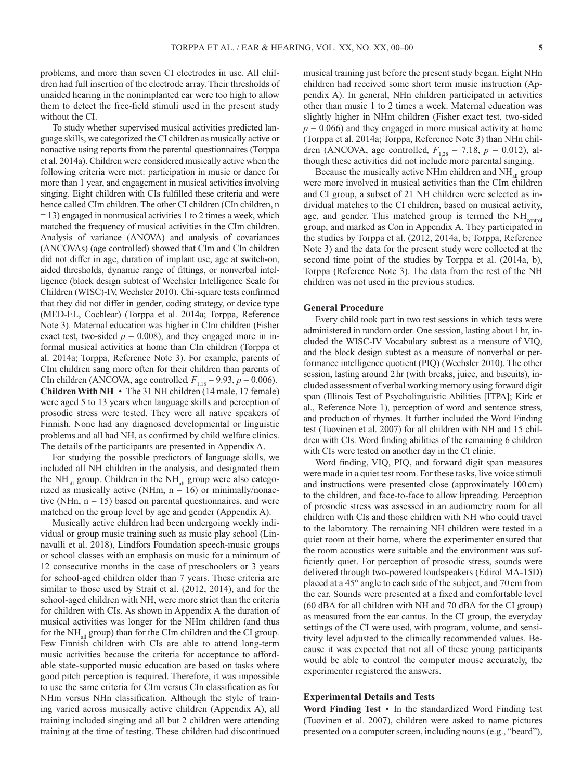problems, and more than seven CI electrodes in use. All children had full insertion of the electrode array. Their thresholds of unaided hearing in the nonimplanted ear were too high to allow them to detect the free-field stimuli used in the present study without the CI.

To study whether supervised musical activities predicted language skills, we categorized the CI children as musically active or nonactive using reports from the parental questionnaires (Torppa et al. 2014a). Children were considered musically active when the following criteria were met: participation in music or dance for more than 1 year, and engagement in musical activities involving singing. Eight children with CIs fulfilled these criteria and were hence called CIm children. The other CI children (CIn children, n = 13) engaged in nonmusical activities 1 to 2 times a week, which matched the frequency of musical activities in the CIm children. Analysis of variance (ANOVA) and analysis of covariances (ANCOVAs) (age controlled) showed that CIm and CIn children did not differ in age, duration of implant use, age at switch-on, aided thresholds, dynamic range of fittings, or nonverbal intelligence (block design subtest of Wechsler Intelligence Scale for Children (WISC)-IV, Wechsler 2010). Chi-square tests confirmed that they did not differ in gender, coding strategy, or device type (MED-EL, Cochlear) (Torppa et al. 2014a; Torppa, Reference Note 3). Maternal education was higher in CIm children (Fisher exact test, two-sided  $p = 0.008$ ), and they engaged more in informal musical activities at home than CIn children (Torppa et al. 2014a; Torppa, Reference Note 3). For example, parents of CIm children sang more often for their children than parents of CIn children (ANCOVA, age controlled,  $F_{1,18} = 9.93$ ,  $p = 0.006$ ). **Children With NH** • The 31 NH children (14 male, 17 female) were aged 5 to 13 years when language skills and perception of prosodic stress were tested. They were all native speakers of Finnish. None had any diagnosed developmental or linguistic problems and all had NH, as confirmed by child welfare clinics. The details of the participants are presented in Appendix A.

For studying the possible predictors of language skills, we included all NH children in the analysis, and designated them the  $NH<sub>all</sub>$  group. Children in the  $NH<sub>all</sub>$  group were also categorized as musically active (NHm,  $n = 16$ ) or minimally/nonactive (NHn,  $n = 15$ ) based on parental questionnaires, and were matched on the group level by age and gender (Appendix A).

Musically active children had been undergoing weekly individual or group music training such as music play school (Linnavalli et al. 2018), Lindfors Foundation speech-music groups or school classes with an emphasis on music for a minimum of 12 consecutive months in the case of preschoolers or 3 years for school-aged children older than 7 years. These criteria are similar to those used by Strait et al. (2012, 2014), and for the school-aged children with NH, were more strict than the criteria for children with CIs. As shown in Appendix A the duration of musical activities was longer for the NHm children (and thus for the  $NH_{all}$  group) than for the CIm children and the CI group. Few Finnish children with CIs are able to attend long-term music activities because the criteria for acceptance to affordable state-supported music education are based on tasks where good pitch perception is required. Therefore, it was impossible to use the same criteria for CIm versus CIn classification as for NHm versus NHn classification. Although the style of training varied across musically active children (Appendix A), all training included singing and all but 2 children were attending training at the time of testing. These children had discontinued

musical training just before the present study began. Eight NHn children had received some short term music instruction (Appendix A). In general, NHn children participated in activities other than music 1 to 2 times a week. Maternal education was slightly higher in NHm children (Fisher exact test, two-sided  $p = 0.066$ ) and they engaged in more musical activity at home (Torppa et al. 2014a; Torppa, Reference Note 3) than NHn children (ANCOVA, age controlled,  $F_{1,28} = 7.18$ ,  $p = 0.012$ ), although these activities did not include more parental singing.

Because the musically active NHm children and  $NH<sub>all</sub>$  group were more involved in musical activities than the CIm children and CI group, a subset of 21 NH children were selected as individual matches to the CI children, based on musical activity, age, and gender. This matched group is termed the NH<sub>control</sub> group, and marked as Con in Appendix A. They participated in the studies by Torppa et al. (2012, 2014a, b; Torppa, Reference Note 3) and the data for the present study were collected at the second time point of the studies by Torppa et al. (2014a, b), Torppa (Reference Note 3). The data from the rest of the NH children was not used in the previous studies.

#### **General Procedure**

Every child took part in two test sessions in which tests were administered in random order. One session, lasting about 1hr, included the WISC-IV Vocabulary subtest as a measure of VIQ, and the block design subtest as a measure of nonverbal or performance intelligence quotient (PIQ) (Wechsler 2010). The other session, lasting around 2hr (with breaks, juice, and biscuits), included assessment of verbal working memory using forward digit span (Illinois Test of Psycholinguistic Abilities [ITPA]; Kirk et al., Reference Note 1), perception of word and sentence stress, and production of rhymes. It further included the Word Finding test (Tuovinen et al. 2007) for all children with NH and 15 children with CIs. Word finding abilities of the remaining 6 children with CIs were tested on another day in the CI clinic.

Word finding, VIQ, PIQ, and forward digit span measures were made in a quiet test room. For these tasks, live voice stimuli and instructions were presented close (approximately 100cm) to the children, and face-to-face to allow lipreading. Perception of prosodic stress was assessed in an audiometry room for all children with CIs and those children with NH who could travel to the laboratory. The remaining NH children were tested in a quiet room at their home, where the experimenter ensured that the room acoustics were suitable and the environment was sufficiently quiet. For perception of prosodic stress, sounds were delivered through two-powered loudspeakers (Edirol MA-15D) placed at a 45° angle to each side of the subject, and 70 cm from the ear. Sounds were presented at a fixed and comfortable level (60 dBA for all children with NH and 70 dBA for the CI group) as measured from the ear cantus. In the CI group, the everyday settings of the CI were used, with program, volume, and sensitivity level adjusted to the clinically recommended values. Because it was expected that not all of these young participants would be able to control the computer mouse accurately, the experimenter registered the answers.

# **Experimental Details and Tests**

**Word Finding Test** • In the standardized Word Finding test (Tuovinen et al. 2007), children were asked to name pictures presented on a computer screen, including nouns (e.g., "beard"),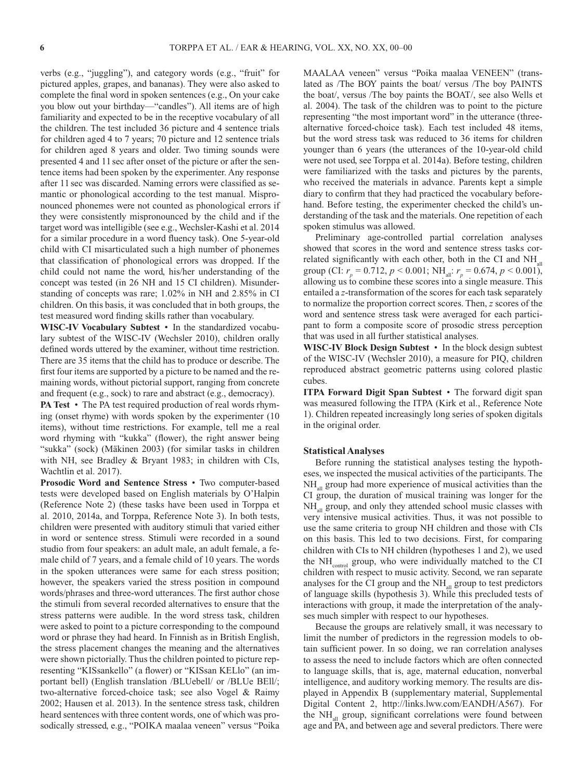verbs (e.g., "juggling"), and category words (e.g., "fruit" for pictured apples, grapes, and bananas). They were also asked to complete the final word in spoken sentences (e.g., On your cake you blow out your birthday—"candles"). All items are of high familiarity and expected to be in the receptive vocabulary of all the children. The test included 36 picture and 4 sentence trials for children aged 4 to 7 years; 70 picture and 12 sentence trials for children aged 8 years and older. Two timing sounds were presented 4 and 11sec after onset of the picture or after the sentence items had been spoken by the experimenter. Any response after 11 sec was discarded. Naming errors were classified as semantic or phonological according to the test manual. Mispronounced phonemes were not counted as phonological errors if they were consistently mispronounced by the child and if the target word was intelligible (see e.g., Wechsler-Kashi et al. 2014 for a similar procedure in a word fluency task). One 5-year-old child with CI misarticulated such a high number of phonemes that classification of phonological errors was dropped. If the child could not name the word, his/her understanding of the concept was tested (in 26 NH and 15 CI children). Misunderstanding of concepts was rare; 1.02% in NH and 2.85% in CI children. On this basis, it was concluded that in both groups, the test measured word finding skills rather than vocabulary.

**WISC-IV Vocabulary Subtest** • In the standardized vocabulary subtest of the WISC-IV (Wechsler 2010), children orally defined words uttered by the examiner, without time restriction. There are 35 items that the child has to produce or describe. The first four items are supported by a picture to be named and the remaining words, without pictorial support, ranging from concrete and frequent (e.g., sock) to rare and abstract (e.g., democracy).

**PA Test** • The PA test required production of real words rhyming (onset rhyme) with words spoken by the experimenter (10 items), without time restrictions. For example, tell me a real word rhyming with "kukka" (flower), the right answer being "sukka" (sock) (Mäkinen 2003) (for similar tasks in children with NH, see Bradley & Bryant 1983; in children with CIs, Wachtlin et al. 2017).

**Prosodic Word and Sentence Stress** • Two computer-based tests were developed based on English materials by O'Halpin (Reference Note 2) (these tasks have been used in Torppa et al. 2010, 2014a, and Torppa, Reference Note 3). In both tests, children were presented with auditory stimuli that varied either in word or sentence stress. Stimuli were recorded in a sound studio from four speakers: an adult male, an adult female, a female child of 7 years, and a female child of 10 years. The words in the spoken utterances were same for each stress position; however, the speakers varied the stress position in compound words/phrases and three-word utterances. The first author chose the stimuli from several recorded alternatives to ensure that the stress patterns were audible. In the word stress task, children were asked to point to a picture corresponding to the compound word or phrase they had heard. In Finnish as in British English, the stress placement changes the meaning and the alternatives were shown pictorially. Thus the children pointed to picture representing "KISsankello" (a flower) or "KISsan KELlo" (an important bell) (English translation /BLUebell/ or /BLUe BEll/; two-alternative forced-choice task; see also Vogel & Raimy 2002; Hausen et al. 2013). In the sentence stress task, children heard sentences with three content words, one of which was prosodically stressed, e.g., "POIKA maalaa veneen" versus "Poika MAALAA veneen" versus "Poika maalaa VENEEN" (translated as /The BOY paints the boat/ versus /The boy PAINTS the boat/, versus /The boy paints the BOAT/, see also Wells et al. 2004). The task of the children was to point to the picture representing "the most important word" in the utterance (threealternative forced-choice task). Each test included 48 items, but the word stress task was reduced to 36 items for children younger than 6 years (the utterances of the 10-year-old child were not used, see Torppa et al. 2014a). Before testing, children were familiarized with the tasks and pictures by the parents, who received the materials in advance. Parents kept a simple diary to confirm that they had practiced the vocabulary beforehand. Before testing, the experimenter checked the child's understanding of the task and the materials. One repetition of each spoken stimulus was allowed.

Preliminary age-controlled partial correlation analyses showed that scores in the word and sentence stress tasks correlated significantly with each other, both in the CI and  $NH_{all}$ group (CI:  $r_p = 0.712$ ,  $p < 0.001$ ; NH<sub>all</sub>:  $r_p = 0.674$ ,  $p < 0.001$ ), allowing us to combine these scores into a single measure. This entailed a *z*-transformation of the scores for each task separately to normalize the proportion correct scores. Then, *z* scores of the word and sentence stress task were averaged for each participant to form a composite score of prosodic stress perception that was used in all further statistical analyses.

**WISC-IV Block Design Subtest** • In the block design subtest of the WISC-IV (Wechsler 2010), a measure for PIQ, children reproduced abstract geometric patterns using colored plastic cubes.

**ITPA Forward Digit Span Subtest** • The forward digit span was measured following the ITPA (Kirk et al., Reference Note 1). Children repeated increasingly long series of spoken digitals in the original order.

#### **Statistical Analyses**

Before running the statistical analyses testing the hypotheses, we inspected the musical activities of the participants. The NH<sub>all</sub> group had more experience of musical activities than the CI group, the duration of musical training was longer for the  $NH<sub>all</sub>$  group, and only they attended school music classes with very intensive musical activities. Thus, it was not possible to use the same criteria to group NH children and those with CIs on this basis. This led to two decisions. First, for comparing children with CIs to NH children (hypotheses 1 and 2), we used the  $NH<sub>control</sub>$  group, who were individually matched to the CI children with respect to music activity. Second, we ran separate analyses for the CI group and the  $NH_{all}$  group to test predictors of language skills (hypothesis 3). While this precluded tests of interactions with group, it made the interpretation of the analyses much simpler with respect to our hypotheses.

Because the groups are relatively small, it was necessary to limit the number of predictors in the regression models to obtain sufficient power. In so doing, we ran correlation analyses to assess the need to include factors which are often connected to language skills, that is, age, maternal education, nonverbal intelligence, and auditory working memory. The results are displayed in Appendix B (supplementary material, Supplemental Digital Content 2, [http://links.lww.com/EANDH/A567\)](http://links.lww.com/EANDH/A567). For the  $NH_{\alpha}$  group, significant correlations were found between age and PA, and between age and several predictors. There were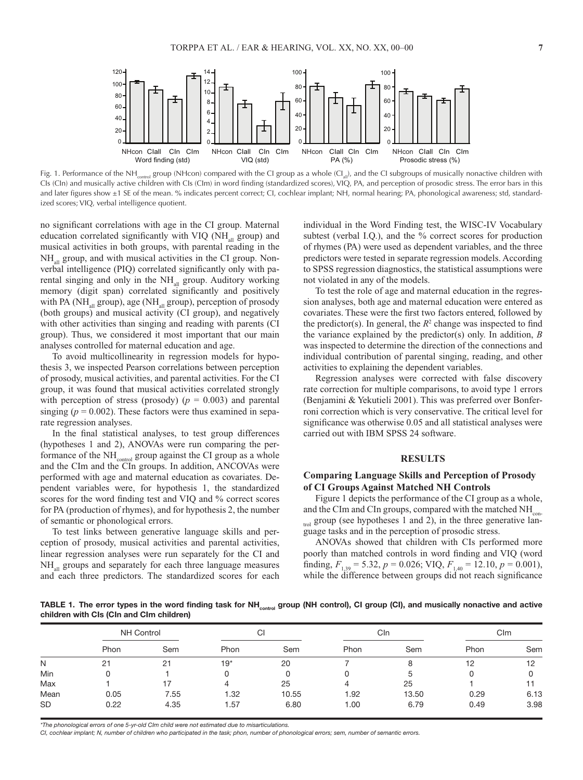

Fig. 1. Performance of the NH<sub>control</sub> group (NHcon) compared with the CI group as a whole (CI<sub>al</sub>), and the CI subgroups of musically nonactive children with CIs (CIn) and musically active children with CIs (CIm) in word finding (standardized scores), VIQ, PA, and perception of prosodic stress. The error bars in this and later figures show ±1 SE of the mean. % indicates percent correct; CI, cochlear implant; NH, normal hearing; PA, phonological awareness; std, standardized scores; VIQ, verbal intelligence quotient.

no significant correlations with age in the CI group. Maternal education correlated significantly with VIQ ( $NH_{all}$  group) and musical activities in both groups, with parental reading in the NH<sub>all</sub> group, and with musical activities in the CI group. Nonverbal intelligence (PIQ) correlated significantly only with parental singing and only in the  $NH<sub>all</sub>$  group. Auditory working memory (digit span) correlated significantly and positively with PA (NH $_{all}$  group), age (NH $_{all}$  group), perception of prosody (both groups) and musical activity (CI group), and negatively with other activities than singing and reading with parents (CI group). Thus, we considered it most important that our main analyses controlled for maternal education and age.

To avoid multicollinearity in regression models for hypothesis 3, we inspected Pearson correlations between perception of prosody, musical activities, and parental activities. For the CI group, it was found that musical activities correlated strongly with perception of stress (prosody) ( $p = 0.003$ ) and parental singing  $(p = 0.002)$ . These factors were thus examined in separate regression analyses.

In the final statistical analyses, to test group differences (hypotheses 1 and 2), ANOVAs were run comparing the performance of the NH<sub>control</sub> group against the CI group as a whole and the CIm and the CIn groups. In addition, ANCOVAs were performed with age and maternal education as covariates. Dependent variables were, for hypothesis 1, the standardized scores for the word finding test and VIQ and % correct scores for PA (production of rhymes), and for hypothesis 2, the number of semantic or phonological errors.

To test links between generative language skills and perception of prosody, musical activities and parental activities, linear regression analyses were run separately for the CI and  $NH<sub>all</sub>$  groups and separately for each three language measures and each three predictors. The standardized scores for each individual in the Word Finding test, the WISC-IV Vocabulary subtest (verbal I.Q.), and the % correct scores for production of rhymes (PA) were used as dependent variables, and the three predictors were tested in separate regression models. According to SPSS regression diagnostics, the statistical assumptions were not violated in any of the models.

To test the role of age and maternal education in the regression analyses, both age and maternal education were entered as covariates. These were the first two factors entered, followed by the predictor(s). In general, the  $R^2$  change was inspected to find the variance explained by the predictor(s) only. In addition, *B* was inspected to determine the direction of the connections and individual contribution of parental singing, reading, and other activities to explaining the dependent variables.

Regression analyses were corrected with false discovery rate correction for multiple comparisons, to avoid type 1 errors (Benjamini & Yekutieli 2001). This was preferred over Bonferroni correction which is very conservative. The critical level for significance was otherwise 0.05 and all statistical analyses were carried out with IBM SPSS 24 software.

## **RESULTS**

# **Comparing Language Skills and Perception of Prosody of CI Groups Against Matched NH Controls**

Figure 1 depicts the performance of the CI group as a whole, and the CIm and CIn groups, compared with the matched NH<sub>con-</sub>  $_{\text{trol}}$  group (see hypotheses 1 and 2), in the three generative language tasks and in the perception of prosodic stress.

ANOVAs showed that children with CIs performed more poorly than matched controls in word finding and VIQ (word finding,  $F_{1,39} = 5.32$ ,  $p = 0.026$ ; VIQ,  $F_{1,40} = 12.10$ ,  $p = 0.001$ ), while the difference between groups did not reach significance

TABLE 1. The error types in the word finding task for NH<sub>control</sub> group (NH control), CI group (CI), and musically nonactive and active **children with CIs (CIn and CIm children)**

|           | <b>NH Control</b> |      | $\sim$<br>U |       | Cln  |       | CIm  |      |
|-----------|-------------------|------|-------------|-------|------|-------|------|------|
|           | Phon              | Sem  | Phon        | Sem   | Phon | Sem   | Phon | Sem  |
| N         |                   | 21   | $19*$       | 20    |      |       | 12   | 12   |
| Min       |                   |      |             |       |      |       |      |      |
| Max       |                   |      |             | 25    |      | 25    |      |      |
| Mean      | 0.05              | 7.55 | 1.32        | 10.55 | 1.92 | 13.50 | 0.29 | 6.13 |
| <b>SD</b> | 0.22              | 4.35 | . . 57      | 6.80  | 1.00 | 6.79  | 0.49 | 3.98 |

*\*The phonological errors of one 5-yr-old CIm child were not estimated due to misarticulations.*

*CI, cochlear implant; N, number of children who participated in the task; phon, number of phonological errors; sem, number of semantic errors.*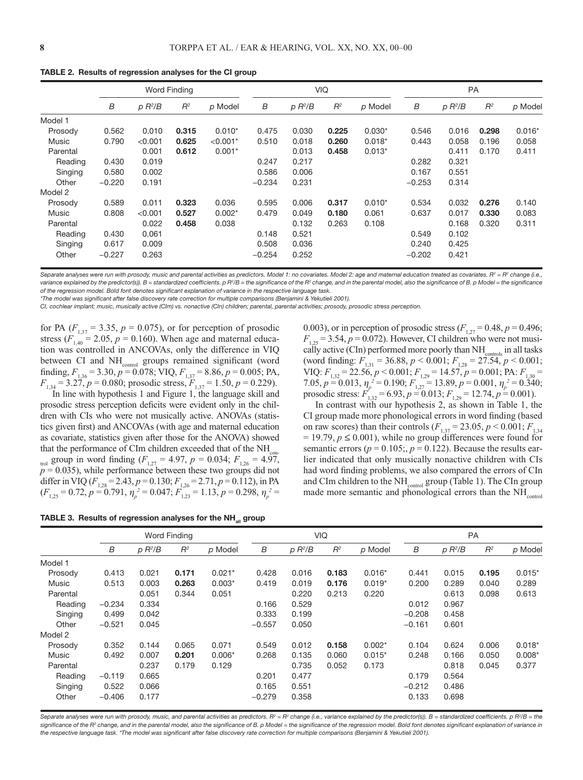|          |          | <b>Word Finding</b> |       |            |          | <b>VIQ</b> |       |          |          | <b>PA</b> |       |          |  |
|----------|----------|---------------------|-------|------------|----------|------------|-------|----------|----------|-----------|-------|----------|--|
|          | B        | $p R^2/B$           | $R^2$ | p Model    | B        | $p R^2/B$  | $R^2$ | p Model  | B        | $p R^2/B$ | $R^2$ | p Model  |  |
| Model 1  |          |                     |       |            |          |            |       |          |          |           |       |          |  |
| Prosody  | 0.562    | 0.010               | 0.315 | $0.010*$   | 0.475    | 0.030      | 0.225 | $0.030*$ | 0.546    | 0.016     | 0.298 | $0.016*$ |  |
| Music    | 0.790    | < 0.001             | 0.625 | $< 0.001*$ | 0.510    | 0.018      | 0.260 | $0.018*$ | 0.443    | 0.058     | 0.196 | 0.058    |  |
| Parental |          | 0.001               | 0.612 | $0.001*$   |          | 0.013      | 0.458 | $0.013*$ |          | 0.411     | 0.170 | 0.411    |  |
| Reading  | 0.430    | 0.019               |       |            | 0.247    | 0.217      |       |          | 0.282    | 0.321     |       |          |  |
| Singing  | 0.580    | 0.002               |       |            | 0.586    | 0.006      |       |          | 0.167    | 0.551     |       |          |  |
| Other    | $-0.220$ | 0.191               |       |            | $-0.234$ | 0.231      |       |          | $-0.253$ | 0.314     |       |          |  |
| Model 2  |          |                     |       |            |          |            |       |          |          |           |       |          |  |
| Prosody  | 0.589    | 0.011               | 0.323 | 0.036      | 0.595    | 0.006      | 0.317 | $0.010*$ | 0.534    | 0.032     | 0.276 | 0.140    |  |
| Music    | 0.808    | < 0.001             | 0.527 | $0.002*$   | 0.479    | 0.049      | 0.180 | 0.061    | 0.637    | 0.017     | 0.330 | 0.083    |  |
| Parental |          | 0.022               | 0.458 | 0.038      |          | 0.132      | 0.263 | 0.108    |          | 0.168     | 0.320 | 0.311    |  |
| Reading  | 0.430    | 0.061               |       |            | 0.148    | 0.521      |       |          | 0.549    | 0.102     |       |          |  |
| Singing  | 0.617    | 0.009               |       |            | 0.508    | 0.036      |       |          | 0.240    | 0.425     |       |          |  |
| Other    | $-0.227$ | 0.263               |       |            | $-0.254$ | 0.252      |       |          | $-0.202$ | 0.421     |       |          |  |

**TABLE 2. Results of regression analyses for the CI group**

Separate analyses were run with prosody, music and parental activities as predictors. Model 1: no covariates. Model 2: age and maternal education treated as covariates. R<sup>2</sup> = R<sup>2</sup> change (i.e., variance explained by the predictor(s)). B = standardized coefficients. p R<sup>2</sup>/B = the significance of the R<sup>2</sup> change, and in the parental model, also the significance of B. p Model = the significance *of the regression model. Bold font denotes significant explanation of variance in the respective language task.*

*\*The model was significant after false discovery rate correction for multiple comparisons (Benjamini & Yekutieli 2001).*

*CI, cochlear implant; music, musically active (CIm) vs. nonactive (CIn) children; parental, parental activities; prosody, prosodic stress perception.*

for PA ( $F_{1,37}$  = 3.35,  $p = 0.075$ ), or for perception of prosodic stress ( $F_{1,40} = 2.05$ ,  $p = 0.160$ ). When age and maternal education was controlled in ANCOVAs, only the difference in VIQ between CI and NH<sub>control</sub> groups remained significant (word finding,  $F_{1,36} = 3.30, p = 0.078$ ; VIQ,  $F_{1,37} = 8.86, p = 0.005$ ; PA,  $F_{1,34} = 3.27, p = 0.080$ ; prosodic stress,  $F_{1,37} = 1.50, p = 0.229$ ).

In line with hypothesis 1 and Figure 1, the language skill and prosodic stress perception deficits were evident only in the children with CIs who were not musically active. ANOVAs (statistics given first) and ANCOVAs (with age and maternal education as covariate, statistics given after those for the ANOVA) showed that the performance of CIm children exceeded that of the  $NH<sub>o</sub>$ trol group in word finding  $(F_{1,27} = 4.97, p = 0.034; F_{1,26} = 4.97,$  $p = 0.035$ , while performance between these two groups did not differ in VIQ ( $F_{1,28} = 2.43$ ,  $p = 0.130$ ;  $F_{1,26} = 2.71$ ,  $p = 0.112$ ), in PA  $(F_{1,25} = 0.72, p = 0.791, \eta_p^2 = 0.047; F_{1,23} = 1.13, p = 0.298, \eta_p^2 =$ 

|  |  | TABLE 3. Results of regression analyses for the NH <sub>all</sub> group |  |  |  |  |
|--|--|-------------------------------------------------------------------------|--|--|--|--|
|--|--|-------------------------------------------------------------------------|--|--|--|--|

0.003), or in perception of prosodic stress  $(F_{1,27} = 0.48, p = 0.496;$  $F_{1,25} = 3.54, p = 0.072$ . However, CI children who were not musically active (CIn) performed more poorly than  $NH_{\text{controls}}$  in all tasks (word finding:  $F_{1,31} = 36.88$ ,  $p < 0.001$ ;  $F_{1,28} = 27.54$ ,  $p < 0.001$ ; VIQ: *F*1,32 = 22.56, *p* < 0.001; *F*1,29 = 14.57, *p* = 0.001; PA: *F*1,30 = 7.05,  $p = 0.013$ ,  $\eta_p^2 = 0.190$ ;  $F_{1,27} = 13.89$ ,  $p = 0.001$ ,  $\eta_p^2 = 0.340$ ; prosodic stress:  $F'_{1,32} = 6.93$ ,  $p = 0.013$ ;  $F_{1,29} = 12.74$ ,  $p = 0.001$ ).

In contrast with our hypothesis 2, as shown in Table 1, the CI group made more phonological errors in word finding (based on raw scores) than their controls  $(F_{1,37} = 23.05, p \le 0.001; F_{1,34}$  $= 19.79, p \le 0.001$ , while no group differences were found for semantic errors ( $p = 0.105$ ;,  $p = 0.122$ ). Because the results earlier indicated that only musically nonactive children with CIs had word finding problems, we also compared the errors of CIn and CIm children to the NH<sub>control</sub> group (Table 1). The CIn group made more semantic and phonological errors than the  $NH<sub>control</sub>$ 

|          | <b>Word Finding</b> |           |       |          | <b>VIQ</b> |           |       |          | <b>PA</b> |           |       |          |
|----------|---------------------|-----------|-------|----------|------------|-----------|-------|----------|-----------|-----------|-------|----------|
|          | B                   | $p R^2/B$ | $R^2$ | p Model  | B          | $p R^2/B$ | $R^2$ | p Model  | B         | $p R^2/B$ | $R^2$ | p Model  |
| Model 1  |                     |           |       |          |            |           |       |          |           |           |       |          |
| Prosody  | 0.413               | 0.021     | 0.171 | $0.021*$ | 0.428      | 0.016     | 0.183 | $0.016*$ | 0.441     | 0.015     | 0.195 | $0.015*$ |
| Music    | 0.513               | 0.003     | 0.263 | $0.003*$ | 0.419      | 0.019     | 0.176 | $0.019*$ | 0.200     | 0.289     | 0.040 | 0.289    |
| Parental |                     | 0.051     | 0.344 | 0.051    |            | 0.220     | 0.213 | 0.220    |           | 0.613     | 0.098 | 0.613    |
| Reading  | $-0.234$            | 0.334     |       |          | 0.166      | 0.529     |       |          | 0.012     | 0.967     |       |          |
| Singing  | 0.499               | 0.042     |       |          | 0.333      | 0.199     |       |          | $-0.208$  | 0.458     |       |          |
| Other    | $-0.521$            | 0.045     |       |          | $-0.557$   | 0.050     |       |          | $-0.161$  | 0.601     |       |          |
| Model 2  |                     |           |       |          |            |           |       |          |           |           |       |          |
| Prosody  | 0.352               | 0.144     | 0.065 | 0.071    | 0.549      | 0.012     | 0.158 | $0.002*$ | 0.104     | 0.624     | 0.006 | $0.018*$ |
| Music    | 0.492               | 0.007     | 0.201 | $0.006*$ | 0.268      | 0.135     | 0.060 | $0.015*$ | 0.248     | 0.166     | 0.050 | $0.008*$ |
| Parental |                     | 0.237     | 0.179 | 0.129    |            | 0.735     | 0.052 | 0.173    |           | 0.818     | 0.045 | 0.377    |
| Reading  | $-0.119$            | 0.665     |       |          | 0.201      | 0.477     |       |          | 0.179     | 0.564     |       |          |
| Singing  | 0.522               | 0.066     |       |          | 0.165      | 0.551     |       |          | $-0.212$  | 0.486     |       |          |
| Other    | $-0.406$            | 0.177     |       |          | $-0.279$   | 0.358     |       |          | 0.133     | 0.698     |       |          |

Separate analyses were run with prosody, music, and parental activities as predictors.  $R^2 = R^2$  change (i.e., variance explained by the predictor(s)). B = standardized coefficients. p R<sup>2</sup>/B = the *significance of the R2 change, and in the parental model, also the significance of B. p Model = the significance of the regression model. Bold font denotes significant explanation of variance in the respective language task. \*The model was significant after false discovery rate correction for multiple comparisons (Benjamini & Yekutieli 2001).*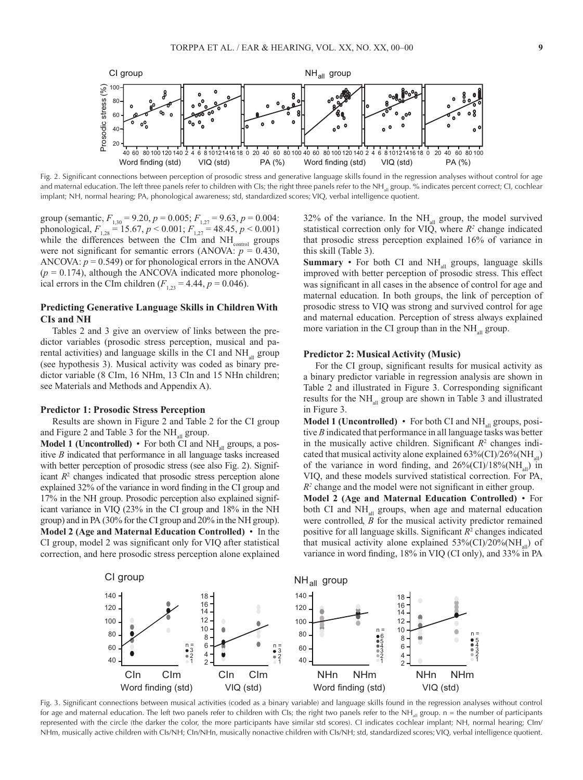

Fig. 2. Significant connections between perception of prosodic stress and generative language skills found in the regression analyses without control for age and maternal education. The left three panels refer to children with CIs; the right three panels refer to the NH<sub>all</sub> group. % indicates percent correct; CI, cochlear implant; NH, normal hearing; PA, phonological awareness; std, standardized scores; VIQ, verbal intelligence quotient.

group (semantic,  $F_{1,30} = 9.20$ ,  $p = 0.005$ ;  $F_{1,27} = 9.63$ ,  $p = 0.004$ : phonological,  $F_{1,28} = 15.67, p \le 0.001; F_{1,27} = 48.45, p \le 0.001$ while the differences between the CIm and  $NH_{\text{control}}$  groups were not significant for semantic errors (ANOVA:  $p = 0.430$ , ANCOVA:  $p = 0.549$ ) or for phonological errors in the ANOVA  $(p = 0.174)$ , although the ANCOVA indicated more phonological errors in the CIm children  $(F_{1,23} = 4.44, p = 0.046)$ .

# **Predicting Generative Language Skills in Children With CIs and NH**

Tables 2 and 3 give an overview of links between the predictor variables (prosodic stress perception, musical and parental activities) and language skills in the CI and  $NH<sub>all</sub>$  group (see hypothesis 3). Musical activity was coded as binary predictor variable (8 CIm, 16 NHm, 13 CIn and 15 NHn children; see Materials and Methods and Appendix A).

#### **Predictor 1: Prosodic Stress Perception**

Results are shown in Figure 2 and Table 2 for the CI group and Figure 2 and Table 3 for the  $NH_{all}$  group.

**Model 1 (Uncontrolled)** • For both CI and  $NH_{all}$  groups, a positive *B* indicated that performance in all language tasks increased with better perception of prosodic stress (see also Fig. 2). Significant  $R<sup>2</sup>$  changes indicated that prosodic stress perception alone explained 32% of the variance in word finding in the CI group and 17% in the NH group. Prosodic perception also explained significant variance in VIQ (23% in the CI group and 18% in the NH group) and in PA (30% for the CI group and 20% in the NH group). **Model 2 (Age and Maternal Education Controlled)** • In the CI group, model 2 was significant only for VIQ after statistical correction, and here prosodic stress perception alone explained

 $32\%$  of the variance. In the NH<sub>all</sub> group, the model survived statistical correction only for VIQ, where  $R^2$  change indicated that prosodic stress perception explained 16% of variance in this skill (Table 3).

**Summary** • For both CI and  $NH_{all}$  groups, language skills improved with better perception of prosodic stress. This effect was significant in all cases in the absence of control for age and maternal education. In both groups, the link of perception of prosodic stress to VIQ was strong and survived control for age and maternal education. Perception of stress always explained more variation in the CI group than in the  $NH_{all}$  group.

# **Predictor 2: Musical Activity (Music)**

For the CI group, significant results for musical activity as a binary predictor variable in regression analysis are shown in Table 2 and illustrated in Figure 3. Corresponding significant results for the  $NH_{all}$  group are shown in Table 3 and illustrated in Figure 3.

**Model 1 (Uncontrolled)** • For both CI and NH<sub>all</sub> groups, positive *B* indicated that performance in all language tasks was better in the musically active children. Significant  $R<sup>2</sup>$  changes indicated that musical activity alone explained  $63\%$  (CI)/26% (NH<sub>al</sub>) of the variance in word finding, and  $26\%$ (CI)/18%(NH<sub>al</sub>) in VIQ, and these models survived statistical correction. For PA, *R2* change and the model were not significant in either group.

**Model 2 (Age and Maternal Education Controlled)** • For both CI and  $NH_{all}$  groups, when age and maternal education were controlled,  $\ddot{B}$  for the musical activity predictor remained positive for all language skills. Significant *R*<sup>2</sup> changes indicated that musical activity alone explained  $53\%$  (CI)/20% (NH<sub>all</sub>) of variance in word finding, 18% in VIQ (CI only), and 33% in PA



Fig. 3. Significant connections between musical activities (coded as a binary variable) and language skills found in the regression analyses without control for age and maternal education. The left two panels refer to children with CIs; the right two panels refer to the NH $_{all}$  group. n = the number of participants represented with the circle (the darker the color, the more participants have similar std scores). CI indicates cochlear implant; NH, normal hearing; CIm/ NHm, musically active children with CIs/NH; CIn/NHn, musically nonactive children with CIs/NH; std, standardized scores; VIQ, verbal intelligence quotient.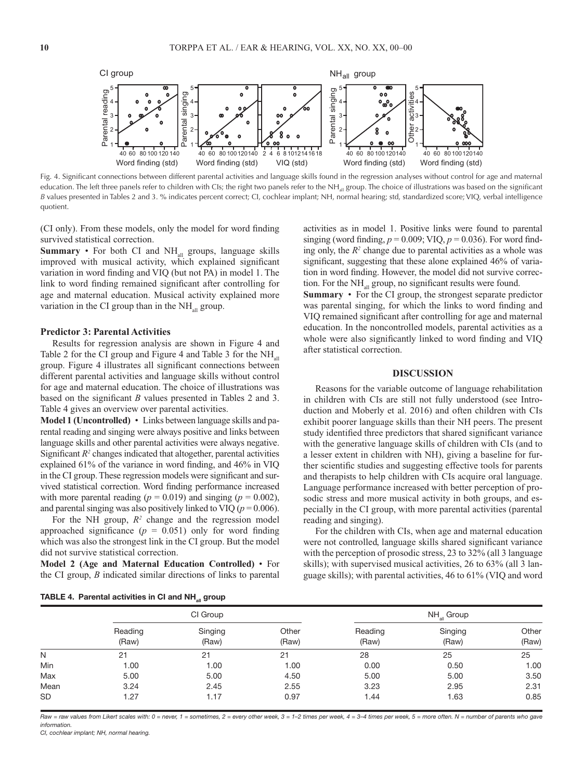

Fig. 4. Significant connections between different parental activities and language skills found in the regression analyses without control for age and maternal education. The left three panels refer to children with CIs; the right two panels refer to the NH<sub>all</sub> group. The choice of illustrations was based on the significant *B* values presented in Tables 2 and 3. % indicates percent correct; CI, cochlear implant; NH, normal hearing; std, standardized score; VIQ, verbal intelligence quotient.

(CI only). From these models, only the model for word finding survived statistical correction.

**Summary** • For both CI and NH<sub>all</sub> groups, language skills improved with musical activity, which explained significant variation in word finding and VIQ (but not PA) in model 1. The link to word finding remained significant after controlling for age and maternal education. Musical activity explained more variation in the CI group than in the  $NH_{all}$  group.

#### **Predictor 3: Parental Activities**

Results for regression analysis are shown in Figure 4 and Table 2 for the CI group and Figure 4 and Table 3 for the  $NH_{all}$ group. Figure 4 illustrates all significant connections between different parental activities and language skills without control for age and maternal education. The choice of illustrations was based on the significant *B* values presented in Tables 2 and 3. Table 4 gives an overview over parental activities.

**Model 1 (Uncontrolled)** • Links between language skills and parental reading and singing were always positive and links between language skills and other parental activities were always negative. Significant  $R^2$  changes indicated that altogether, parental activities explained 61% of the variance in word finding, and 46% in VIQ in the CI group. These regression models were significant and survived statistical correction. Word finding performance increased with more parental reading  $(p = 0.019)$  and singing  $(p = 0.002)$ , and parental singing was also positively linked to VIQ ( $p = 0.006$ ).

For the NH group,  $R^2$  change and the regression model approached significance  $(p = 0.051)$  only for word finding which was also the strongest link in the CI group. But the model did not survive statistical correction.

**Model 2 (Age and Maternal Education Controlled)** • For the CI group, *B* indicated similar directions of links to parental

activities as in model 1. Positive links were found to parental singing (word finding, *p* = 0.009; VIQ, *p* = 0.036). For word finding only, the  $R<sup>2</sup>$  change due to parental activities as a whole was significant, suggesting that these alone explained 46% of variation in word finding. However, the model did not survive correction. For the  $NH_{all}$  group, no significant results were found.

**Summary** • For the CI group, the strongest separate predictor was parental singing, for which the links to word finding and VIQ remained significant after controlling for age and maternal education. In the noncontrolled models, parental activities as a whole were also significantly linked to word finding and VIQ after statistical correction.

## **DISCUSSION**

Reasons for the variable outcome of language rehabilitation in children with CIs are still not fully understood (see Introduction and Moberly et al. 2016) and often children with CIs exhibit poorer language skills than their NH peers. The present study identified three predictors that shared significant variance with the generative language skills of children with CIs (and to a lesser extent in children with NH), giving a baseline for further scientific studies and suggesting effective tools for parents and therapists to help children with CIs acquire oral language. Language performance increased with better perception of prosodic stress and more musical activity in both groups, and especially in the CI group, with more parental activities (parental reading and singing).

For the children with CIs, when age and maternal education were not controlled, language skills shared significant variance with the perception of prosodic stress, 23 to 32% (all 3 language skills); with supervised musical activities, 26 to 63% (all 3 language skills); with parental activities, 46 to 61% (VIQ and word

|  |  | TABLE 4. Parental activities in CI and NH <sub>all</sub> group |  |  |  |  |
|--|--|----------------------------------------------------------------|--|--|--|--|
|--|--|----------------------------------------------------------------|--|--|--|--|

|           |                  | a⊪ ∽             |                |                  |                  |                |  |  |
|-----------|------------------|------------------|----------------|------------------|------------------|----------------|--|--|
|           |                  | CI Group         |                | $NH_{all}$ Group |                  |                |  |  |
|           | Reading<br>(Raw) | Singing<br>(Raw) | Other<br>(Raw) | Reading<br>(Raw) | Singing<br>(Raw) | Other<br>(Raw) |  |  |
| N         | 21               | 21               | 21             | 28               | 25               | 25             |  |  |
| Min       | 1.00             | 1.00             | 1.00           | 0.00             | 0.50             | 1.00           |  |  |
| Max       | 5.00             | 5.00             | 4.50           | 5.00             | 5.00             | 3.50           |  |  |
| Mean      | 3.24             | 2.45             | 2.55           | 3.23             | 2.95             | 2.31           |  |  |
| <b>SD</b> | 1.27             | 1.17             | 0.97           | 1.44             | 1.63             | 0.85           |  |  |
|           |                  |                  |                |                  |                  |                |  |  |

Raw = raw values from Likert scales with: 0 = never, 1 = sometimes, 2 = every other week, 3 = 1-2 times per week, 4 = 3-4 times per week, 5 = more often. N = number of parents who gave *information.*

*CI, cochlear implant; NH, normal hearing.*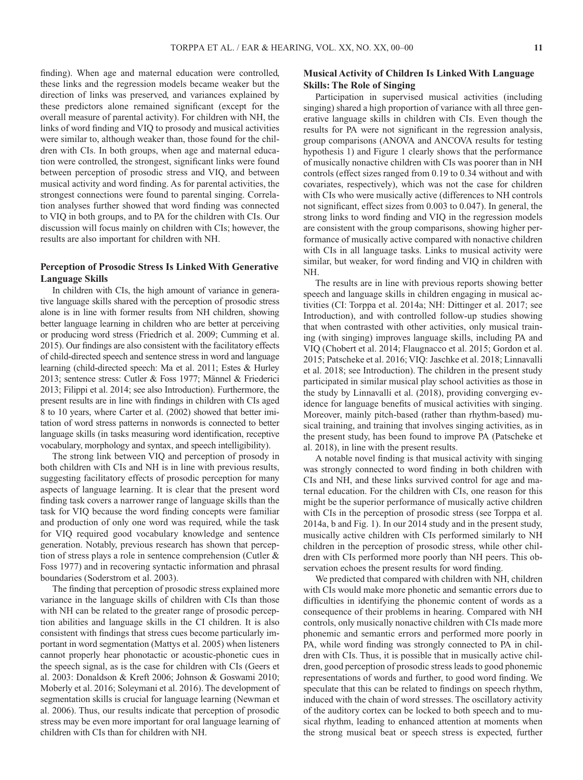finding). When age and maternal education were controlled, these links and the regression models became weaker but the direction of links was preserved, and variances explained by these predictors alone remained significant (except for the overall measure of parental activity). For children with NH, the links of word finding and VIQ to prosody and musical activities were similar to, although weaker than, those found for the children with CIs. In both groups, when age and maternal education were controlled, the strongest, significant links were found between perception of prosodic stress and VIQ, and between musical activity and word finding. As for parental activities, the strongest connections were found to parental singing. Correlation analyses further showed that word finding was connected to VIQ in both groups, and to PA for the children with CIs. Our discussion will focus mainly on children with CIs; however, the results are also important for children with NH.

# **Perception of Prosodic Stress Is Linked With Generative Language Skills**

In children with CIs, the high amount of variance in generative language skills shared with the perception of prosodic stress alone is in line with former results from NH children, showing better language learning in children who are better at perceiving or producing word stress (Friedrich et al. 2009; Cumming et al. 2015). Our findings are also consistent with the facilitatory effects of child-directed speech and sentence stress in word and language learning (child-directed speech: Ma et al. 2011; Estes & Hurley 2013; sentence stress: Cutler & Foss 1977; Männel & Friederici 2013; Filippi et al. 2014; see also Introduction). Furthermore, the present results are in line with findings in children with CIs aged 8 to 10 years, where Carter et al. (2002) showed that better imitation of word stress patterns in nonwords is connected to better language skills (in tasks measuring word identification, receptive vocabulary, morphology and syntax, and speech intelligibility).

The strong link between VIQ and perception of prosody in both children with CIs and NH is in line with previous results, suggesting facilitatory effects of prosodic perception for many aspects of language learning. It is clear that the present word finding task covers a narrower range of language skills than the task for VIQ because the word finding concepts were familiar and production of only one word was required, while the task for VIQ required good vocabulary knowledge and sentence generation. Notably, previous research has shown that perception of stress plays a role in sentence comprehension (Cutler & Foss 1977) and in recovering syntactic information and phrasal boundaries (Soderstrom et al. 2003).

The finding that perception of prosodic stress explained more variance in the language skills of children with CIs than those with NH can be related to the greater range of prosodic perception abilities and language skills in the CI children. It is also consistent with findings that stress cues become particularly important in word segmentation (Mattys et al. 2005) when listeners cannot properly hear phonotactic or acoustic-phonetic cues in the speech signal, as is the case for children with CIs (Geers et al. 2003: Donaldson & Kreft 2006; Johnson & Goswami 2010; Moberly et al. 2016; Soleymani et al. 2016). The development of segmentation skills is crucial for language learning (Newman et al. 2006). Thus, our results indicate that perception of prosodic stress may be even more important for oral language learning of children with CIs than for children with NH.

# **Musical Activity of Children Is Linked With Language Skills: The Role of Singing**

Participation in supervised musical activities (including singing) shared a high proportion of variance with all three generative language skills in children with CIs. Even though the results for PA were not significant in the regression analysis, group comparisons (ANOVA and ANCOVA results for testing hypothesis 1) and Figure 1 clearly shows that the performance of musically nonactive children with CIs was poorer than in NH controls (effect sizes ranged from 0.19 to 0.34 without and with covariates, respectively), which was not the case for children with CIs who were musically active (differences to NH controls not significant, effect sizes from 0.003 to 0.047). In general, the strong links to word finding and VIQ in the regression models are consistent with the group comparisons, showing higher performance of musically active compared with nonactive children with CIs in all language tasks. Links to musical activity were similar, but weaker, for word finding and VIQ in children with NH.

The results are in line with previous reports showing better speech and language skills in children engaging in musical activities (CI: Torppa et al. 2014a; NH: Dittinger et al. 2017; see Introduction), and with controlled follow-up studies showing that when contrasted with other activities, only musical training (with singing) improves language skills, including PA and VIQ (Chobert et al. 2014; Flaugnacco et al. 2015; Gordon et al. 2015; Patscheke et al. 2016; VIQ: Jaschke et al. 2018; Linnavalli et al. 2018; see Introduction). The children in the present study participated in similar musical play school activities as those in the study by Linnavalli et al. (2018), providing converging evidence for language benefits of musical activities with singing. Moreover, mainly pitch-based (rather than rhythm-based) musical training, and training that involves singing activities, as in the present study, has been found to improve PA (Patscheke et al. 2018), in line with the present results.

A notable novel finding is that musical activity with singing was strongly connected to word finding in both children with CIs and NH, and these links survived control for age and maternal education. For the children with CIs, one reason for this might be the superior performance of musically active children with CIs in the perception of prosodic stress (see Torppa et al. 2014a, b and Fig. 1). In our 2014 study and in the present study, musically active children with CIs performed similarly to NH children in the perception of prosodic stress, while other children with CIs performed more poorly than NH peers. This observation echoes the present results for word finding.

We predicted that compared with children with NH, children with CIs would make more phonetic and semantic errors due to difficulties in identifying the phonemic content of words as a consequence of their problems in hearing. Compared with NH controls, only musically nonactive children with CIs made more phonemic and semantic errors and performed more poorly in PA, while word finding was strongly connected to PA in children with CIs. Thus, it is possible that in musically active children, good perception of prosodic stress leads to good phonemic representations of words and further, to good word finding. We speculate that this can be related to findings on speech rhythm, induced with the chain of word stresses. The oscillatory activity of the auditory cortex can be locked to both speech and to musical rhythm, leading to enhanced attention at moments when the strong musical beat or speech stress is expected, further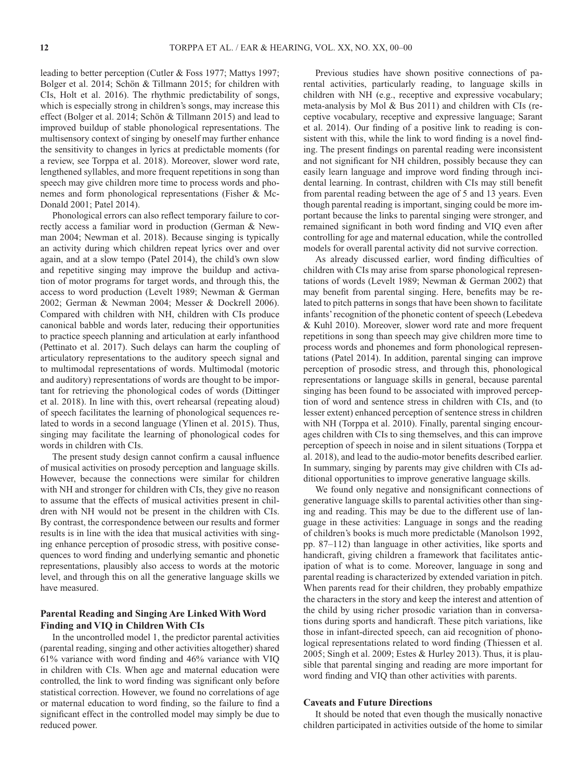leading to better perception (Cutler & Foss 1977; Mattys 1997; Bolger et al. 2014; Schön & Tillmann 2015; for children with CIs, Holt et al. 2016). The rhythmic predictability of songs, which is especially strong in children's songs, may increase this effect (Bolger et al. 2014; Schön & Tillmann 2015) and lead to improved buildup of stable phonological representations. The multisensory context of singing by oneself may further enhance the sensitivity to changes in lyrics at predictable moments (for a review, see Torppa et al. 2018). Moreover, slower word rate, lengthened syllables, and more frequent repetitions in song than speech may give children more time to process words and phonemes and form phonological representations (Fisher & Mc-Donald 2001; Patel 2014).

Phonological errors can also reflect temporary failure to correctly access a familiar word in production (German & Newman 2004; Newman et al. 2018). Because singing is typically an activity during which children repeat lyrics over and over again, and at a slow tempo (Patel 2014), the child's own slow and repetitive singing may improve the buildup and activation of motor programs for target words, and through this, the access to word production (Levelt 1989; Newman & German 2002; German & Newman 2004; Messer & Dockrell 2006). Compared with children with NH, children with CIs produce canonical babble and words later, reducing their opportunities to practice speech planning and articulation at early infanthood (Pettinato et al. 2017). Such delays can harm the coupling of articulatory representations to the auditory speech signal and to multimodal representations of words. Multimodal (motoric and auditory) representations of words are thought to be important for retrieving the phonological codes of words (Dittinger et al. 2018). In line with this, overt rehearsal (repeating aloud) of speech facilitates the learning of phonological sequences related to words in a second language (Ylinen et al. 2015). Thus, singing may facilitate the learning of phonological codes for words in children with CIs.

The present study design cannot confirm a causal influence of musical activities on prosody perception and language skills. However, because the connections were similar for children with NH and stronger for children with CIs, they give no reason to assume that the effects of musical activities present in children with NH would not be present in the children with CIs. By contrast, the correspondence between our results and former results is in line with the idea that musical activities with singing enhance perception of prosodic stress, with positive consequences to word finding and underlying semantic and phonetic representations, plausibly also access to words at the motoric level, and through this on all the generative language skills we have measured.

# **Parental Reading and Singing Are Linked With Word Finding and VIQ in Children With CIs**

In the uncontrolled model 1, the predictor parental activities (parental reading, singing and other activities altogether) shared 61% variance with word finding and 46% variance with VIQ in children with CIs. When age and maternal education were controlled, the link to word finding was significant only before statistical correction. However, we found no correlations of age or maternal education to word finding, so the failure to find a significant effect in the controlled model may simply be due to reduced power.

Previous studies have shown positive connections of parental activities, particularly reading, to language skills in children with NH (e.g., receptive and expressive vocabulary; meta-analysis by Mol & Bus 2011) and children with CIs (receptive vocabulary, receptive and expressive language; Sarant et al. 2014). Our finding of a positive link to reading is consistent with this, while the link to word finding is a novel finding. The present findings on parental reading were inconsistent and not significant for NH children, possibly because they can easily learn language and improve word finding through incidental learning. In contrast, children with CIs may still benefit from parental reading between the age of 5 and 13 years. Even though parental reading is important, singing could be more important because the links to parental singing were stronger, and remained significant in both word finding and VIQ even after controlling for age and maternal education, while the controlled models for overall parental activity did not survive correction.

As already discussed earlier, word finding difficulties of children with CIs may arise from sparse phonological representations of words (Levelt 1989; Newman & German 2002) that may benefit from parental singing. Here, benefits may be related to pitch patterns in songs that have been shown to facilitate infants' recognition of the phonetic content of speech (Lebedeva & Kuhl 2010). Moreover, slower word rate and more frequent repetitions in song than speech may give children more time to process words and phonemes and form phonological representations (Patel 2014). In addition, parental singing can improve perception of prosodic stress, and through this, phonological representations or language skills in general, because parental singing has been found to be associated with improved perception of word and sentence stress in children with CIs, and (to lesser extent) enhanced perception of sentence stress in children with NH (Torppa et al. 2010). Finally, parental singing encourages children with CIs to sing themselves, and this can improve perception of speech in noise and in silent situations (Torppa et al. 2018), and lead to the audio-motor benefits described earlier. In summary, singing by parents may give children with CIs additional opportunities to improve generative language skills.

We found only negative and nonsignificant connections of generative language skills to parental activities other than singing and reading. This may be due to the different use of language in these activities: Language in songs and the reading of children's books is much more predictable (Manolson 1992, pp. 87–112) than language in other activities, like sports and handicraft, giving children a framework that facilitates anticipation of what is to come. Moreover, language in song and parental reading is characterized by extended variation in pitch. When parents read for their children, they probably empathize the characters in the story and keep the interest and attention of the child by using richer prosodic variation than in conversations during sports and handicraft. These pitch variations, like those in infant-directed speech, can aid recognition of phonological representations related to word finding (Thiessen et al. 2005; Singh et al. 2009; Estes & Hurley 2013). Thus, it is plausible that parental singing and reading are more important for word finding and VIQ than other activities with parents.

## **Caveats and Future Directions**

It should be noted that even though the musically nonactive children participated in activities outside of the home to similar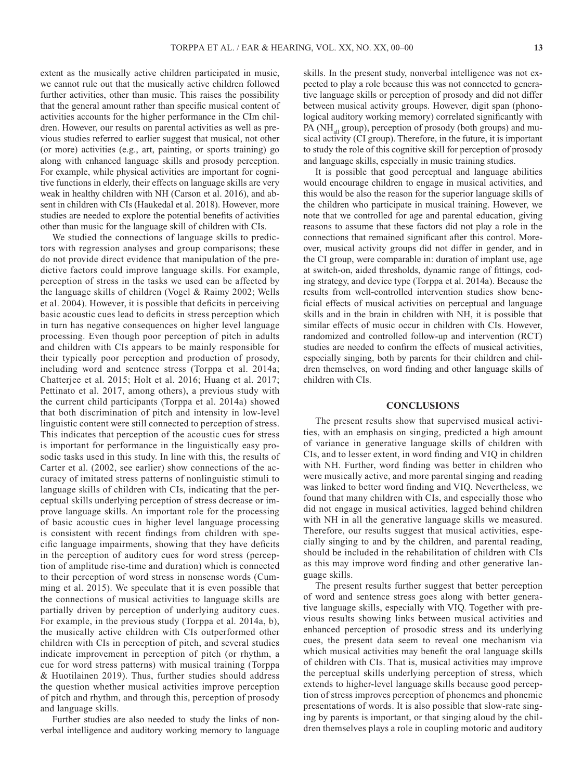extent as the musically active children participated in music, we cannot rule out that the musically active children followed further activities, other than music. This raises the possibility that the general amount rather than specific musical content of activities accounts for the higher performance in the CIm children. However, our results on parental activities as well as previous studies referred to earlier suggest that musical, not other (or more) activities (e.g., art, painting, or sports training) go along with enhanced language skills and prosody perception. For example, while physical activities are important for cognitive functions in elderly, their effects on language skills are very weak in healthy children with NH (Carson et al. 2016), and absent in children with CIs (Haukedal et al. 2018). However, more studies are needed to explore the potential benefits of activities other than music for the language skill of children with CIs.

We studied the connections of language skills to predictors with regression analyses and group comparisons; these do not provide direct evidence that manipulation of the predictive factors could improve language skills. For example, perception of stress in the tasks we used can be affected by the language skills of children (Vogel & Raimy 2002; Wells et al. 2004). However, it is possible that deficits in perceiving basic acoustic cues lead to deficits in stress perception which in turn has negative consequences on higher level language processing. Even though poor perception of pitch in adults and children with CIs appears to be mainly responsible for their typically poor perception and production of prosody, including word and sentence stress (Torppa et al. 2014a; Chatterjee et al. 2015; Holt et al. 2016; Huang et al. 2017; Pettinato et al. 2017, among others), a previous study with the current child participants (Torppa et al. 2014a) showed that both discrimination of pitch and intensity in low-level linguistic content were still connected to perception of stress. This indicates that perception of the acoustic cues for stress is important for performance in the linguistically easy prosodic tasks used in this study. In line with this, the results of Carter et al. (2002, see earlier) show connections of the accuracy of imitated stress patterns of nonlinguistic stimuli to language skills of children with CIs, indicating that the perceptual skills underlying perception of stress decrease or improve language skills. An important role for the processing of basic acoustic cues in higher level language processing is consistent with recent findings from children with specific language impairments, showing that they have deficits in the perception of auditory cues for word stress (perception of amplitude rise-time and duration) which is connected to their perception of word stress in nonsense words (Cumming et al. 2015). We speculate that it is even possible that the connections of musical activities to language skills are partially driven by perception of underlying auditory cues. For example, in the previous study (Torppa et al. 2014a, b), the musically active children with CIs outperformed other children with CIs in perception of pitch, and several studies indicate improvement in perception of pitch (or rhythm, a cue for word stress patterns) with musical training (Torppa & Huotilainen 2019). Thus, further studies should address the question whether musical activities improve perception of pitch and rhythm, and through this, perception of prosody and language skills.

Further studies are also needed to study the links of nonverbal intelligence and auditory working memory to language skills. In the present study, nonverbal intelligence was not expected to play a role because this was not connected to generative language skills or perception of prosody and did not differ between musical activity groups. However, digit span (phonological auditory working memory) correlated significantly with PA (NH<sub>all</sub> group), perception of prosody (both groups) and musical activity (CI group). Therefore, in the future, it is important to study the role of this cognitive skill for perception of prosody and language skills, especially in music training studies.

It is possible that good perceptual and language abilities would encourage children to engage in musical activities, and this would be also the reason for the superior language skills of the children who participate in musical training. However, we note that we controlled for age and parental education, giving reasons to assume that these factors did not play a role in the connections that remained significant after this control. Moreover, musical activity groups did not differ in gender, and in the CI group, were comparable in: duration of implant use, age at switch-on, aided thresholds, dynamic range of fittings, coding strategy, and device type (Torppa et al. 2014a). Because the results from well-controlled intervention studies show beneficial effects of musical activities on perceptual and language skills and in the brain in children with NH, it is possible that similar effects of music occur in children with CIs. However, randomized and controlled follow-up and intervention (RCT) studies are needed to confirm the effects of musical activities, especially singing, both by parents for their children and children themselves, on word finding and other language skills of children with CIs.

## **CONCLUSIONS**

The present results show that supervised musical activities, with an emphasis on singing, predicted a high amount of variance in generative language skills of children with CIs, and to lesser extent, in word finding and VIQ in children with NH. Further, word finding was better in children who were musically active, and more parental singing and reading was linked to better word finding and VIQ. Nevertheless, we found that many children with CIs, and especially those who did not engage in musical activities, lagged behind children with NH in all the generative language skills we measured. Therefore, our results suggest that musical activities, especially singing to and by the children, and parental reading, should be included in the rehabilitation of children with CIs as this may improve word finding and other generative language skills.

The present results further suggest that better perception of word and sentence stress goes along with better generative language skills, especially with VIQ. Together with previous results showing links between musical activities and enhanced perception of prosodic stress and its underlying cues, the present data seem to reveal one mechanism via which musical activities may benefit the oral language skills of children with CIs. That is, musical activities may improve the perceptual skills underlying perception of stress, which extends to higher-level language skills because good perception of stress improves perception of phonemes and phonemic presentations of words. It is also possible that slow-rate singing by parents is important, or that singing aloud by the children themselves plays a role in coupling motoric and auditory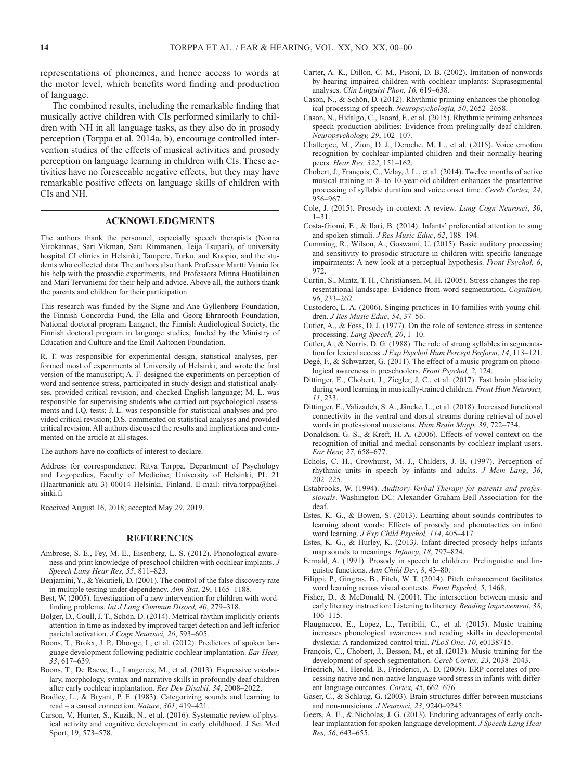representations of phonemes, and hence access to words at the motor level, which benefits word finding and production of language.

The combined results, including the remarkable finding that musically active children with CIs performed similarly to children with NH in all language tasks, as they also do in prosody perception (Torppa et al. 2014a, b), encourage controlled intervention studies of the effects of musical activities and prosody perception on language learning in children with CIs. These activities have no foreseeable negative effects, but they may have remarkable positive effects on language skills of children with CIs and NH.

## **ACKNOWLEDGMENTS**

The authors thank the personnel, especially speech therapists (Nonna Virokannas, Sari Vikman, Satu Rimmanen, Teija Tsupari), of university hospital CI clinics in Helsinki, Tampere, Turku, and Kuopio, and the students who collected data. The authors also thank Professor Martti Vainio for his help with the prosodic experiments, and Professors Minna Huotilainen and Mari Tervaniemi for their help and advice. Above all, the authors thank the parents and children for their participation.

This research was funded by the Signe and Ane Gyllenberg Foundation, the Finnish Concordia Fund, the Ella and Georg Ehrnrooth Foundation, National doctoral program Langnet, the Finnish Audiological Society, the Finnish doctoral program in language studies, funded by the Ministry of Education and Culture and the Emil Aaltonen Foundation.

R. T. was responsible for experimental design, statistical analyses, performed most of experiments at University of Helsinki, and wrote the first version of the manuscript; A. F. designed the experiments on perception of word and sentence stress, participated in study design and statistical analyses, provided critical revision, and checked English language; M. L. was responsible for supervising students who carried out psychological assessments and I.Q. tests; J. L. was responsible for statistical analyses and provided critical revision; D.S. commented on statistical analyses and provided critical revision. All authors discussed the results and implications and commented on the article at all stages.

The authors have no conflicts of interest to declare.

Address for correspondence: Ritva Torppa, Department of Psychology and Logopedics, Faculty of Medicine, University of Helsinki, PL 21 (Haartmanink atu 3) 00014 Helsinki, Finland. E-mail: [ritva.torppa@hel](mailto:ritva.torppa@helsinki.fi)[sinki.fi](mailto:ritva.torppa@helsinki.fi)

Received August 16, 2018; accepted May 29, 2019.

#### **REFERENCES**

- Ambrose, S. E., Fey, M. E., Eisenberg, L. S. (2012). Phonological awareness and print knowledge of preschool children with cochlear implants. *J Speech Lang Hear Res, 55*, 811–823.
- Benjamini, Y., & Yekutieli, D. (2001). The control of the false discovery rate in multiple testing under dependency. *Ann Stat*, 29, 1165–1188.
- Best, W. (2005). Investigation of a new intervention for children with wordfinding problems. *Int J Lang Commun Disord, 40*, 279–318.
- Bolger, D., Coull, J. T., Schön, D. (2014). Metrical rhythm implicitly orients attention in time as indexed by improved target detection and left inferior parietal activation. *J Cogn Neurosci, 26*, 593–605.
- Boons, T., Brokx, J. P., Dhooge, I., et al. (2012). Predictors of spoken language development following pediatric cochlear implantation. *Ear Hear, 33*, 617–639.
- Boons, T., De Raeve, L., Langereis, M., et al. (2013). Expressive vocabulary, morphology, syntax and narrative skills in profoundly deaf children after early cochlear implantation. *Res Dev Disabil, 34*, 2008–2022.
- Bradley, L., & Bryant, P. E. (1983). Categorizing sounds and learning to read – a causal connection. *Nature*, *301*, 419–421.
- Carson, V., Hunter, S., Kuzik, N., et al. (2016). Systematic review of physical activity and cognitive development in early childhood. J Sci Med Sport, 19, 573–578.
- Carter, A. K., Dillon, C. M., Pisoni, D. B. (2002). Imitation of nonwords by hearing impaired children with cochlear implants: Suprasegmental analyses. *Clin Linguist Phon, 16*, 619–638.
- Cason, N., & Schön, D. (2012). Rhythmic priming enhances the phonological processing of speech. *Neuropsychologia, 50*, 2652–2658.
- Cason, N., Hidalgo, C., Isoard, F., et al. (2015). Rhythmic priming enhances speech production abilities: Evidence from prelingually deaf children. *Neuropsychology, 29*, 102–107.
- Chatterjee, M., Zion, D. J., Deroche, M. L., et al. (2015). Voice emotion recognition by cochlear-implanted children and their normally-hearing peers. *Hear Res, 322*, 151–162.
- Chobert, J., François, C., Velay, J. L., et al. (2014). Twelve months of active musical training in 8- to 10-year-old children enhances the preattentive processing of syllabic duration and voice onset time. *Cereb Cortex, 24*, 956–967.
- Cole, J. (2015). Prosody in context: A review. *Lang Cogn Neurosci*, *30*, 1–31.
- Costa-Giomi, E., & Ilari, B. (2014). Infants' preferential attention to sung and spoken stimuli. *J Res Music Educ*, *62*, 188–194.
- Cumming, R., Wilson, A., Goswami, U. (2015). Basic auditory processing and sensitivity to prosodic structure in children with specific language impairments: A new look at a perceptual hypothesis. *Front Psychol, 6*, 972.
- Curtin, S., Mintz, T. H., Christiansen, M. H. (2005). Stress changes the representational landscape: Evidence from word segmentation. *Cognition, 96*, 233–262.
- Custodero, L. A. (2006). Singing practices in 10 families with young children. *J Res Music Educ*, *54*, 37–56.
- Cutler, A., & Foss, D. J. (1977). On the role of sentence stress in sentence processing. *Lang Speech, 20*, 1–10.
- Cutler, A., & Norris, D. G. (1988). The role of strong syllables in segmentation for lexical access. *J Exp Psychol Hum Percept Perform*, *14*, 113–121.
- Degé, F., & Schwarzer, G. (2011). The effect of a music program on phonological awareness in preschoolers. *Front Psychol, 2*, 124.
- Dittinger, E., Chobert, J., Ziegler, J. C., et al. (2017). Fast brain plasticity during word learning in musically-trained children. *Front Hum Neurosci, 11*, 233.
- Dittinger, E., Valizadeh, S. A., Jäncke, L., et al. (2018). Increased functional connectivity in the ventral and dorsal streams during retrieval of novel words in professional musicians. *Hum Brain Mapp, 39*, 722–734.
- Donaldson, G. S., & Kreft, H. A. (2006). Effects of vowel context on the recognition of initial and medial consonants by cochlear implant users. *Ear Hear, 27*, 658–677.
- Echols, C. H., Crowhurst, M. J., Childers, J. B. (1997). Perception of rhythmic units in speech by infants and adults. *J Mem Lang*, *36*, 202–225.
- Estabrooks, W. (1994). *Auditory-Verbal Therapy for parents and professionals*. Washington DC: Alexander Graham Bell Association for the deaf.
- Estes, K. G., & Bowen, S. (2013). Learning about sounds contributes to learning about words: Effects of prosody and phonotactics on infant word learning. *J Exp Child Psychol, 114*, 405–417.
- Estes, K. G., & Hurley, K. (2013*).* Infant-directed prosody helps infants map sounds to meanings. *Infancy*, *18*, 797–824.
- Fernald, A. (1991). Prosody in speech to children: Prelinguistic and linguistic functions. *Ann Child Dev*, *8*, 43–80.
- Filippi, P., Gingras, B., Fitch, W. T. (2014). Pitch enhancement facilitates word learning across visual contexts. *Front Psychol, 5*, 1468.
- Fisher, D., & McDonald, N. (2001). The intersection between music and early literacy instruction: Listening to literacy. *Reading Improvement*, *38*, 106–115.
- Flaugnacco, E., Lopez, L., Terribili, C., et al. (2015). Music training increases phonological awareness and reading skills in developmental dyslexia: A randomized control trial. *PLoS One, 10*, e0138715.
- François, C., Chobert, J., Besson, M., et al. (2013). Music training for the development of speech segmentation. *Cereb Cortex, 23*, 2038–2043.
- Friedrich, M., Herold, B., Friederici, A. D. (2009). ERP correlates of processing native and non-native language word stress in infants with different language outcomes. *Cortex, 45*, 662–676.
- Gaser, C., & Schlaug, G. (2003). Brain structures differ between musicians and non-musicians. *J Neurosci, 23*, 9240–9245.
- Geers, A. E., & Nicholas, J. G. (2013). Enduring advantages of early cochlear implantation for spoken language development. *J Speech Lang Hear Res, 56*, 643–655.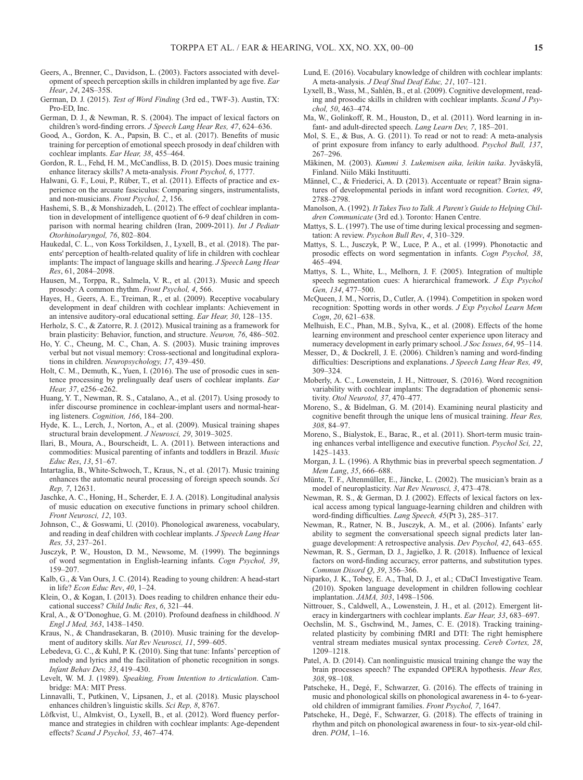- Geers, A., Brenner, C., Davidson, L. (2003). Factors associated with development of speech perception skills in children implanted by age five. *Ear Hear*, *24*, 24S–35S.
- German, D. J. (2015). *Test of Word Finding* (3rd ed., TWF-3). Austin, TX: Pro-ED, Inc.
- German, D. J., & Newman, R. S. (2004). The impact of lexical factors on children's word-finding errors. *J Speech Lang Hear Res, 47*, 624–636.
- Good, A., Gordon, K. A., Papsin, B. C., et al. (2017). Benefits of music training for perception of emotional speech prosody in deaf children with cochlear implants. *Ear Hear, 38*, 455–464.
- Gordon, R. L., Fehd, H. M., McCandliss, B. D. (2015). Does music training enhance literacy skills? A meta-analysis. *Front Psychol, 6*, 1777.
- Halwani, G. F., Loui, P., Rüber, T., et al. (2011). Effects of practice and experience on the arcuate fasciculus: Comparing singers, instrumentalists, and non-musicians. *Front Psychol, 2*, 156.
- Hashemi, S. B., & Monshizadeh, L. (2012). The effect of cochlear implantation in development of intelligence quotient of 6-9 deaf children in comparison with normal hearing children (Iran, 2009-2011). *Int J Pediatr Otorhinolaryngol, 76*, 802–804.
- Haukedal, C. L., von Koss Torkildsen, J., Lyxell, B., et al. (2018). The parents' perception of health-related quality of life in children with cochlear implants: The impact of language skills and hearing. *J Speech Lang Hear Res*, 61, 2084–2098.
- Hausen, M., Torppa, R., Salmela, V. R., et al. (2013). Music and speech prosody: A common rhythm. *Front Psychol, 4*, 566.
- Hayes, H., Geers, A. E., Treiman, R., et al. (2009). Receptive vocabulary development in deaf children with cochlear implants: Achievement in an intensive auditory-oral educational setting. *Ear Hear, 30*, 128–135.
- Herholz, S. C., & Zatorre, R. J. (2012). Musical training as a framework for brain plasticity: Behavior, function, and structure. *Neuron, 76*, 486–502.
- Ho, Y. C., Cheung, M. C., Chan, A. S. (2003). Music training improves verbal but not visual memory: Cross-sectional and longitudinal explorations in children. *Neuropsychology, 17*, 439–450.
- Holt, C. M., Demuth, K., Yuen, I. (2016). The use of prosodic cues in sentence processing by prelingually deaf users of cochlear implants. *Ear Hear, 37*, e256–e262.
- Huang, Y. T., Newman, R. S., Catalano, A., et al. (2017). Using prosody to infer discourse prominence in cochlear-implant users and normal-hearing listeners. *Cognition, 166*, 184–200.
- Hyde, K. L., Lerch, J., Norton, A., et al. (2009). Musical training shapes structural brain development. *J Neurosci, 29*, 3019–3025.
- Ilari, B., Moura, A., Bourscheidt, L. A. (2011). Between interactions and commodities: Musical parenting of infants and toddlers in Brazil. *Music Educ Res*, *13*, 51–67.
- Intartaglia, B., White-Schwoch, T., Kraus, N., et al. (2017). Music training enhances the automatic neural processing of foreign speech sounds. *Sci Rep, 7*, 12631.
- Jaschke, A. C., Honing, H., Scherder, E. J. A. (2018). Longitudinal analysis of music education on executive functions in primary school children. *Front Neurosci, 12*, 103.
- Johnson, C., & Goswami, U. (2010). Phonological awareness, vocabulary, and reading in deaf children with cochlear implants. *J Speech Lang Hear Res, 53*, 237–261.
- Jusczyk, P. W., Houston, D. M., Newsome, M. (1999). The beginnings of word segmentation in English-learning infants. *Cogn Psychol, 39*, 159–207.
- Kalb, G., & Van Ours, J. C. (2014). Reading to young children: A head-start in life? *Econ Educ Rev*, *40*, 1–24.
- Klein, O., & Kogan, I. (2013). Does reading to children enhance their educational success? *Child Indic Res*, *6*, 321–44.
- Kral, A., & O'Donoghue, G. M. (2010). Profound deafness in childhood. *N Engl J Med, 363*, 1438–1450.
- Kraus, N., & Chandrasekaran, B. (2010). Music training for the development of auditory skills. *Nat Rev Neurosci, 11*, 599–605.
- Lebedeva, G. C., & Kuhl, P. K. (2010). Sing that tune: Infants' perception of melody and lyrics and the facilitation of phonetic recognition in songs. *Infant Behav Dev, 33*, 419–430.
- Levelt, W. M. J. (1989). *Speaking, From Intention to Articulation*. Cambridge: MA: MIT Press.
- Linnavalli, T., Putkinen, V., Lipsanen, J., et al. (2018). Music playschool enhances children's linguistic skills. *Sci Rep, 8*, 8767.
- Löfkvist, U., Almkvist, O., Lyxell, B., et al. (2012). Word fluency performance and strategies in children with cochlear implants: Age-dependent effects? *Scand J Psychol, 53*, 467–474.
- Lund, E. (2016). Vocabulary knowledge of children with cochlear implants: A meta-analysis. *J Deaf Stud Deaf Educ, 21*, 107–121.
- Lyxell, B., Wass, M., Sahlén, B., et al. (2009). Cognitive development, reading and prosodic skills in children with cochlear implants. *Scand J Psychol, 50*, 463–474.
- Ma, W., Golinkoff, R. M., Houston, D., et al. (2011). Word learning in infant- and adult-directed speech. *Lang Learn Dev, 7*, 185–201.
- Mol, S. E., & Bus, A. G. (2011). To read or not to read: A meta-analysis of print exposure from infancy to early adulthood. *Psychol Bull, 137*, 267–296.
- Mäkinen, M. (2003). *Kummi 3. Lukemisen aika, leikin taika*. Jyväskylä, Finland. Niilo Mäki Instituutti.
- Männel, C., & Friederici, A. D. (2013). Accentuate or repeat? Brain signatures of developmental periods in infant word recognition. *Cortex, 49*, 2788–2798.
- Manolson, A. (1992). *It Takes Two to Talk. A Parent's Guide to Helping Children Communicate* (3rd ed.). Toronto: Hanen Centre.
- Mattys, S. L. (1997). The use of time during lexical processing and segmentation: A review. *Psychon Bull Rev*, *4*, 310–329.
- Mattys, S. L., Jusczyk, P. W., Luce, P. A., et al. (1999). Phonotactic and prosodic effects on word segmentation in infants. *Cogn Psychol, 38*, 465–494.
- Mattys, S. L., White, L., Melhorn, J. F. (2005). Integration of multiple speech segmentation cues: A hierarchical framework. *J Exp Psychol Gen, 134*, 477–500.
- McQueen, J. M., Norris, D., Cutler, A. (1994). Competition in spoken word recognition: Spotting words in other words. *J Exp Psychol Learn Mem Cogn*, *20*, 621–638.
- Melhuish, E.C., Phan, M.B., Sylva, K., et al. (2008). Effects of the home learning environment and preschool center experience upon literacy and numeracy development in early primary school. *J Soc Issues*, *64*, 95–114.
- Messer, D., & Dockrell, J. E. (2006). Children's naming and word-finding difficulties: Descriptions and explanations. *J Speech Lang Hear Res, 49*, 309–324.
- Moberly, A. C., Lowenstein, J. H., Nittrouer, S. (2016). Word recognition variability with cochlear implants: The degradation of phonemic sensitivity. *Otol Neurotol, 37*, 470–477.
- Moreno, S., & Bidelman, G. M. (2014). Examining neural plasticity and cognitive benefit through the unique lens of musical training. *Hear Res, 308*, 84–97.
- Moreno, S., Bialystok, E., Barac, R., et al. (2011). Short-term music training enhances verbal intelligence and executive function. *Psychol Sci, 22*, 1425–1433.
- Morgan, J. L. (1996). A Rhythmic bias in preverbal speech segmentation. *J Mem Lang*, *35*, 666–688.
- Münte, T. F., Altenmüller, E., Jäncke, L. (2002). The musician's brain as a model of neuroplasticity. *Nat Rev Neurosci, 3*, 473–478.
- Newman, R. S., & German, D. J. (2002). Effects of lexical factors on lexical access among typical language-learning children and children with word-finding difficulties. *Lang Speech, 45*(Pt 3), 285–317.
- Newman, R., Ratner, N. B., Jusczyk, A. M., et al. (2006). Infants' early ability to segment the conversational speech signal predicts later language development: A retrospective analysis. *Dev Psychol, 42*, 643–655.
- Newman, R. S., German, D. J., Jagielko, J. R. (2018). Influence of lexical factors on word-finding accuracy, error patterns, and substitution types. *Commun Disord Q*, *39*, 356–366.
- Niparko, J. K., Tobey, E. A., Thal, D. J., et al.; CDaCI Investigative Team. (2010). Spoken language development in children following cochlear implantation. *JAMA, 303*, 1498–1506.
- Nittrouer, S., Caldwell, A., Lowenstein, J. H., et al. (2012). Emergent literacy in kindergartners with cochlear implants. *Ear Hear, 33*, 683–697.
- Oechslin, M. S., Gschwind, M., James, C. E. (2018). Tracking trainingrelated plasticity by combining fMRI and DTI: The right hemisphere ventral stream mediates musical syntax processing. *Cereb Cortex, 28*, 1209–1218.
- Patel, A. D. (2014). Can nonlinguistic musical training change the way the brain processes speech? The expanded OPERA hypothesis. *Hear Res, 308*, 98–108.
- Patscheke, H., Degé, F., Schwarzer, G. (2016). The effects of training in music and phonological skills on phonological awareness in 4- to 6-yearold children of immigrant families. *Front Psychol, 7*, 1647.
- Patscheke, H., Degé, F., Schwarzer, G. (2018). The effects of training in rhythm and pitch on phonological awareness in four- to six-year-old children. *POM*, 1–16.